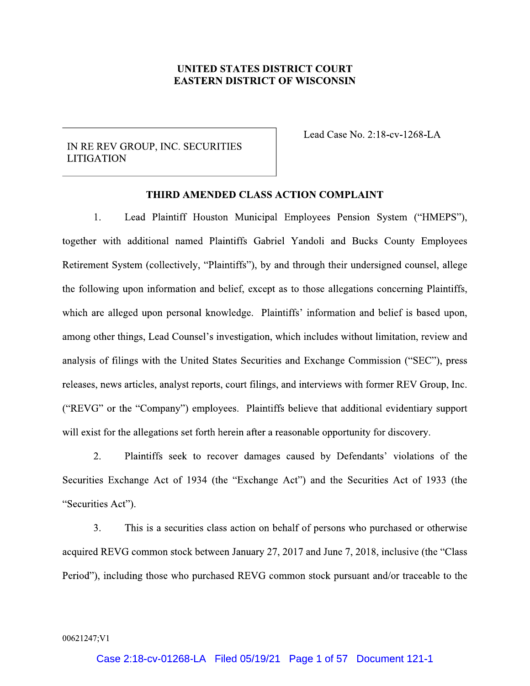# **UNITED STATES DISTRICT COURT EASTERN DISTRICT OF WISCONSIN**

# IN RE REV GROUP, INC. SECURITIES **LITIGATION**

Lead Case No. 2:18-cv-1268-LA

## THIRD AMENDED CLASS ACTION COMPLAINT

1. Lead Plaintiff Houston Municipal Employees Pension System ("HMEPS"), together with additional named Plaintiffs Gabriel Yandoli and Bucks County Employees Retirement System (collectively, "Plaintiffs"), by and through their undersigned counsel, allege the following upon information and belief, except as to those allegations concerning Plaintiffs, which are alleged upon personal knowledge. Plaintiffs' information and belief is based upon, among other things, Lead Counsel's investigation, which includes without limitation, review and analysis of filings with the United States Securities and Exchange Commission ("SEC"), press releases, news articles, analyst reports, court filings, and interviews with former REV Group, Inc. ("REVG" or the "Company") employees. Plaintiffs believe that additional evidentiary support will exist for the allegations set forth herein after a reasonable opportunity for discovery.

 $2.$ Plaintiffs seek to recover damages caused by Defendants' violations of the Securities Exchange Act of 1934 (the "Exchange Act") and the Securities Act of 1933 (the "Securities Act").

 $3<sub>1</sub>$ This is a securities class action on behalf of persons who purchased or otherwise acquired REVG common stock between January 27, 2017 and June 7, 2018, inclusive (the "Class" Period"), including those who purchased REVG common stock pursuant and/or traceable to the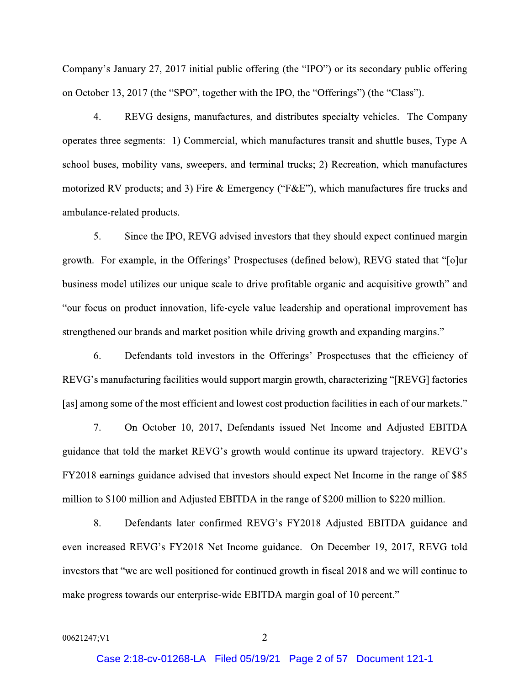Company's January 27, 2017 initial public offering (the "IPO") or its secondary public offering on October 13, 2017 (the "SPO", together with the IPO, the "Offerings") (the "Class").

 $\overline{4}$ . REVG designs, manufactures, and distributes specialty vehicles. The Company operates three segments: 1) Commercial, which manufactures transit and shuttle buses, Type A school buses, mobility vans, sweepers, and terminal trucks; 2) Recreation, which manufactures motorized RV products; and 3) Fire & Emergency ("F&E"), which manufactures fire trucks and ambulance-related products.

5. Since the IPO, REVG advised investors that they should expect continued margin growth. For example, in the Offerings' Prospectuses (defined below), REVG stated that "[o]ur business model utilizes our unique scale to drive profitable organic and acquisitive growth" and "our focus on product innovation, life-cycle value leadership and operational improvement has strengthened our brands and market position while driving growth and expanding margins."

6. Defendants told investors in the Offerings' Prospectuses that the efficiency of REVG's manufacturing facilities would support margin growth, characterizing "[REVG] factories [as] among some of the most efficient and lowest cost production facilities in each of our markets."

 $7.$ On October 10, 2017, Defendants issued Net Income and Adjusted EBITDA guidance that told the market REVG's growth would continue its upward trajectory. REVG's FY2018 earnings guidance advised that investors should expect Net Income in the range of \$85 million to \$100 million and Adjusted EBITDA in the range of \$200 million to \$220 million.

8. Defendants later confirmed REVG's FY2018 Adjusted EBITDA guidance and even increased REVG's FY2018 Net Income guidance. On December 19, 2017, REVG told investors that "we are well positioned for continued growth in fiscal 2018 and we will continue to make progress towards our enterprise-wide EBITDA margin goal of 10 percent."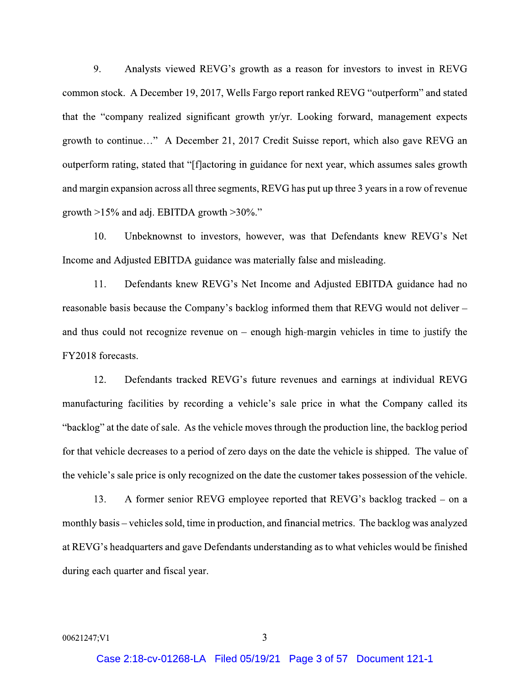9. Analysts viewed REVG's growth as a reason for investors to invest in REVG common stock. A December 19, 2017, Wells Fargo report ranked REVG "outperform" and stated that the "company realized significant growth yr/yr. Looking forward, management expects growth to continue..." A December 21, 2017 Credit Suisse report, which also gave REVG an outperform rating, stated that "[f]actoring in guidance for next year, which assumes sales growth and margin expansion across all three segments, REVG has put up three 3 years in a row of revenue growth  $>15\%$  and adj. EBITDA growth  $>30\%$ ."

Unbeknownst to investors, however, was that Defendants knew REVG's Net  $10.$ Income and Adjusted EBITDA guidance was materially false and misleading.

 $11.$ Defendants knew REVG's Net Income and Adjusted EBITDA guidance had no reasonable basis because the Company's backlog informed them that REVG would not deliver and thus could not recognize revenue on  $-$  enough high-margin vehicles in time to justify the FY2018 forecasts.

12. Defendants tracked REVG's future revenues and earnings at individual REVG manufacturing facilities by recording a vehicle's sale price in what the Company called its "backlog" at the date of sale. As the vehicle moves through the production line, the backlog period for that vehicle decreases to a period of zero days on the date the vehicle is shipped. The value of the vehicle's sale price is only recognized on the date the customer takes possession of the vehicle.

13. A former senior REVG employee reported that REVG's backlog tracked – on a monthly basis – vehicles sold, time in production, and financial metrics. The backlog was analyzed at REVG's headquarters and gave Defendants understanding as to what vehicles would be finished during each quarter and fiscal year.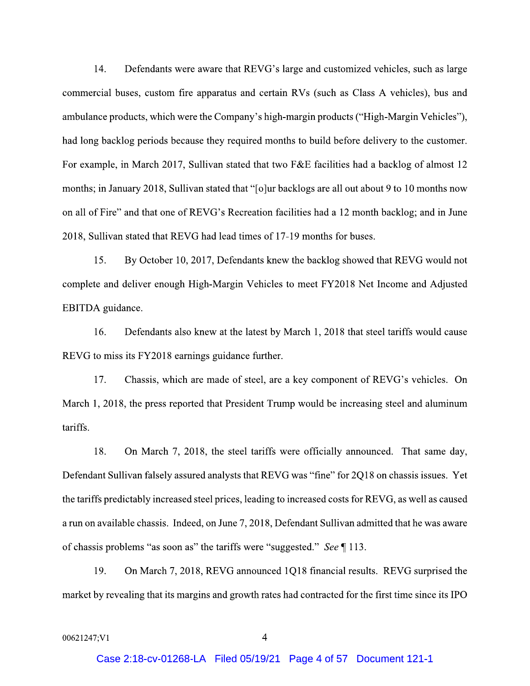14. Defendants were aware that REVG's large and customized vehicles, such as large commercial buses, custom fire apparatus and certain RVs (such as Class A vehicles), bus and ambulance products, which were the Company's high-margin products ("High-Margin Vehicles"), had long backlog periods because they required months to build before delivery to the customer. For example, in March 2017, Sullivan stated that two F&E facilities had a backlog of almost 12 months; in January 2018, Sullivan stated that "[o]ur backlogs are all out about 9 to 10 months now on all of Fire" and that one of REVG's Recreation facilities had a 12 month backlog; and in June 2018, Sullivan stated that REVG had lead times of 17-19 months for buses.

15. By October 10, 2017, Defendants knew the backlog showed that REVG would not complete and deliver enough High-Margin Vehicles to meet FY2018 Net Income and Adjusted EBITDA guidance.

16. Defendants also knew at the latest by March 1, 2018 that steel tariffs would cause REVG to miss its FY2018 earnings guidance further.

17. Chassis, which are made of steel, are a key component of REVG's vehicles. On March 1, 2018, the press reported that President Trump would be increasing steel and aluminum tariffs.

18. On March 7, 2018, the steel tariffs were officially announced. That same day, Defendant Sullivan falsely assured analysts that REVG was "fine" for 2Q18 on chassis issues. Yet the tariffs predictably increased steel prices, leading to increased costs for REVG, as well as caused a run on available chassis. Indeed, on June 7, 2018, Defendant Sullivan admitted that he was aware of chassis problems "as soon as" the tariffs were "suggested." See ¶ 113.

19. On March 7, 2018, REVG announced 1Q18 financial results. REVG surprised the market by revealing that its margins and growth rates had contracted for the first time since its IPO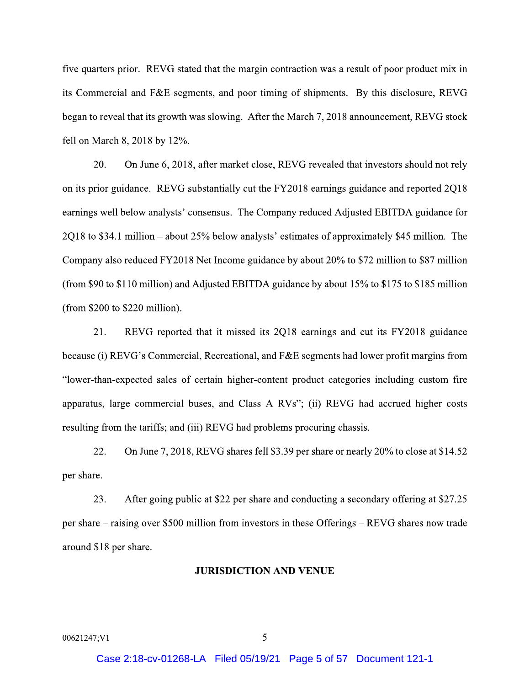five quarters prior. REVG stated that the margin contraction was a result of poor product mix in its Commercial and F&E segments, and poor timing of shipments. By this disclosure, REVG began to reveal that its growth was slowing. After the March 7, 2018 announcement, REVG stock fell on March 8, 2018 by 12%.

20. On June 6, 2018, after market close, REVG revealed that investors should not rely on its prior guidance. REVG substantially cut the FY2018 earnings guidance and reported 2Q18 earnings well below analysts' consensus. The Company reduced Adjusted EBITDA guidance for 2Q18 to \$34.1 million – about 25% below analysts' estimates of approximately \$45 million. The Company also reduced FY2018 Net Income guidance by about 20% to \$72 million to \$87 million (from \$90 to \$110 million) and Adjusted EBITDA guidance by about 15% to \$175 to \$185 million (from  $$200$  to  $$220$  million).

21. REVG reported that it missed its 2Q18 earnings and cut its FY2018 guidance because (i) REVG's Commercial, Recreational, and F&E segments had lower profit margins from "lower-than-expected sales of certain higher-content product categories including custom fire apparatus, large commercial buses, and Class A RVs"; (ii) REVG had accrued higher costs resulting from the tariffs; and (iii) REVG had problems procuring chassis.

22. On June 7, 2018, REVG shares fell \$3.39 per share or nearly 20% to close at \$14.52 per share.

23. After going public at \$22 per share and conducting a secondary offering at \$27.25 per share – raising over \$500 million from investors in these Offerings – REVG shares now trade around \$18 per share.

## **JURISDICTION AND VENUE**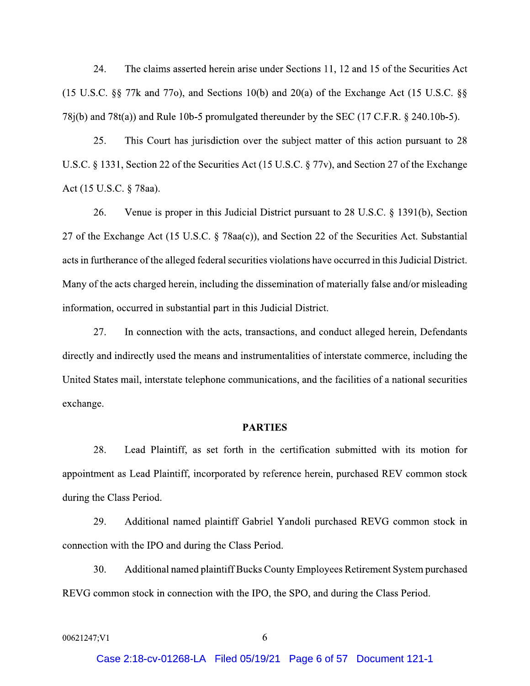24. The claims asserted herein arise under Sections 11, 12 and 15 of the Securities Act  $(15 \text{ U.S.C. }$  §§ 77k and 77o), and Sections 10(b) and 20(a) of the Exchange Act (15 U.S.C. §§  $78j(b)$  and  $78t(a)$ ) and Rule 10b-5 promulgated thereunder by the SEC (17 C.F.R. § 240.10b-5).

25. This Court has jurisdiction over the subject matter of this action pursuant to 28 U.S.C. § 1331, Section 22 of the Securities Act (15 U.S.C. § 77v), and Section 27 of the Exchange Act (15 U.S.C. § 78aa).

26. Venue is proper in this Judicial District pursuant to 28 U.S.C. § 1391(b), Section 27 of the Exchange Act (15 U.S.C. § 78aa(c)), and Section 22 of the Securities Act. Substantial acts in furtherance of the alleged federal securities violations have occurred in this Judicial District. Many of the acts charged herein, including the dissemination of materially false and/or misleading information, occurred in substantial part in this Judicial District.

27. In connection with the acts, transactions, and conduct alleged herein, Defendants directly and indirectly used the means and instrumentalities of interstate commerce, including the United States mail, interstate telephone communications, and the facilities of a national securities exchange.

## **PARTIES**

28. Lead Plaintiff, as set forth in the certification submitted with its motion for appointment as Lead Plaintiff, incorporated by reference herein, purchased REV common stock during the Class Period.

29. Additional named plaintiff Gabriel Yandoli purchased REVG common stock in connection with the IPO and during the Class Period.

30. Additional named plaintiff Bucks County Employees Retirement System purchased REVG common stock in connection with the IPO, the SPO, and during the Class Period.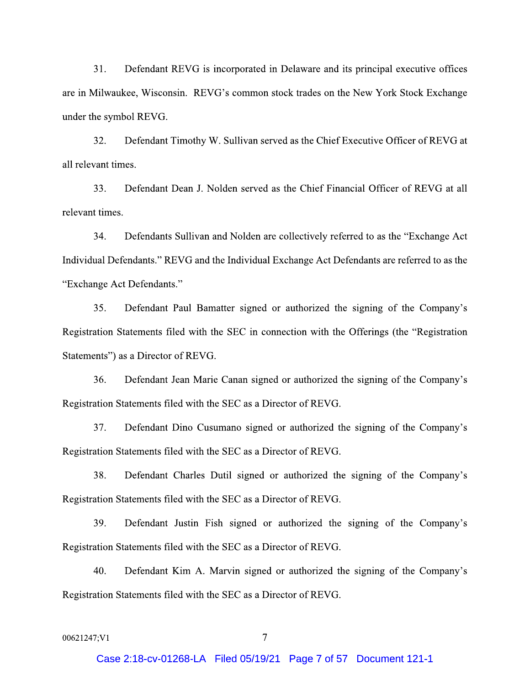$31.$ Defendant REVG is incorporated in Delaware and its principal executive offices are in Milwaukee, Wisconsin. REVG's common stock trades on the New York Stock Exchange under the symbol REVG.

32. Defendant Timothy W. Sullivan served as the Chief Executive Officer of REVG at all relevant times.

33. Defendant Dean J. Nolden served as the Chief Financial Officer of REVG at all relevant times.

34. Defendants Sullivan and Nolden are collectively referred to as the "Exchange Act" Individual Defendants." REVG and the Individual Exchange Act Defendants are referred to as the "Exchange Act Defendants."

35. Defendant Paul Bamatter signed or authorized the signing of the Company's Registration Statements filed with the SEC in connection with the Offerings (the "Registration" Statements") as a Director of REVG.

36. Defendant Jean Marie Canan signed or authorized the signing of the Company's Registration Statements filed with the SEC as a Director of REVG.

Defendant Dino Cusumano signed or authorized the signing of the Company's 37. Registration Statements filed with the SEC as a Director of REVG.

38. Defendant Charles Dutil signed or authorized the signing of the Company's Registration Statements filed with the SEC as a Director of REVG.

39. Defendant Justin Fish signed or authorized the signing of the Company's Registration Statements filed with the SEC as a Director of REVG.

40. Defendant Kim A. Marvin signed or authorized the signing of the Company's Registration Statements filed with the SEC as a Director of REVG.

```
00621247;V1
```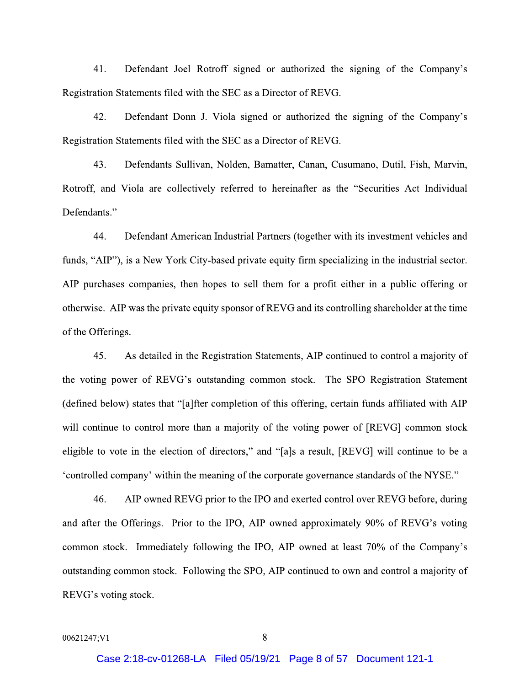$41.$ Defendant Joel Rotroff signed or authorized the signing of the Company's Registration Statements filed with the SEC as a Director of REVG.

42. Defendant Donn J. Viola signed or authorized the signing of the Company's Registration Statements filed with the SEC as a Director of REVG.

Defendants Sullivan, Nolden, Bamatter, Canan, Cusumano, Dutil, Fish, Marvin, 43. Rotroff, and Viola are collectively referred to hereinafter as the "Securities Act Individual Defendants."

44 Defendant American Industrial Partners (together with its investment vehicles and funds, "AIP"), is a New York City-based private equity firm specializing in the industrial sector. AIP purchases companies, then hopes to sell them for a profit either in a public offering or otherwise. AIP was the private equity sponsor of REVG and its controlling shareholder at the time of the Offerings.

As detailed in the Registration Statements, AIP continued to control a majority of 45. the voting power of REVG's outstanding common stock. The SPO Registration Statement (defined below) states that "[a]fter completion of this offering, certain funds affiliated with AIP will continue to control more than a majority of the voting power of [REVG] common stock eligible to vote in the election of directors," and "[a]s a result, [REVG] will continue to be a "controlled company" within the meaning of the corporate governance standards of the NYSE."

46. AIP owned REVG prior to the IPO and exerted control over REVG before, during and after the Offerings. Prior to the IPO, AIP owned approximately 90% of REVG's voting common stock. Immediately following the IPO, AIP owned at least 70% of the Company's outstanding common stock. Following the SPO, AIP continued to own and control a majority of REVG's voting stock.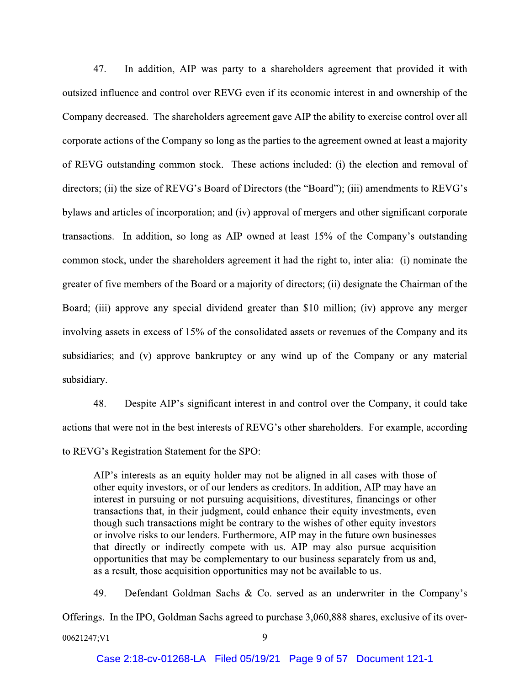47. In addition, AIP was party to a shareholders agreement that provided it with outsized influence and control over REVG even if its economic interest in and ownership of the Company decreased. The shareholders agreement gave AIP the ability to exercise control over all corporate actions of the Company so long as the parties to the agreement owned at least a majority of REVG outstanding common stock. These actions included: (i) the election and removal of directors; (ii) the size of REVG's Board of Directors (the "Board"); (iii) amendments to REVG's bylaws and articles of incorporation; and (iv) approval of mergers and other significant corporate transactions. In addition, so long as AIP owned at least 15% of the Company's outstanding common stock, under the shareholders agreement it had the right to, inter alia: (i) nominate the greater of five members of the Board or a majority of directors; (ii) designate the Chairman of the Board; (iii) approve any special dividend greater than \$10 million; (iv) approve any merger involving assets in excess of 15% of the consolidated assets or revenues of the Company and its subsidiaries; and (v) approve bankruptcy or any wind up of the Company or any material subsidiary.

48. Despite AIP's significant interest in and control over the Company, it could take actions that were not in the best interests of REVG's other shareholders. For example, according to REVG's Registration Statement for the SPO:

AIP's interests as an equity holder may not be aligned in all cases with those of other equity investors, or of our lenders as creditors. In addition, AIP may have an interest in pursuing or not pursuing acquisitions, divestitures, financings or other transactions that, in their judgment, could enhance their equity investments, even though such transactions might be contrary to the wishes of other equity investors or involve risks to our lenders. Furthermore, AIP may in the future own businesses that directly or indirectly compete with us. AIP may also pursue acquisition opportunities that may be complementary to our business separately from us and, as a result, those acquisition opportunities may not be available to us.

49. Defendant Goldman Sachs & Co. served as an underwriter in the Company's Offerings. In the IPO, Goldman Sachs agreed to purchase 3,060,888 shares, exclusive of its over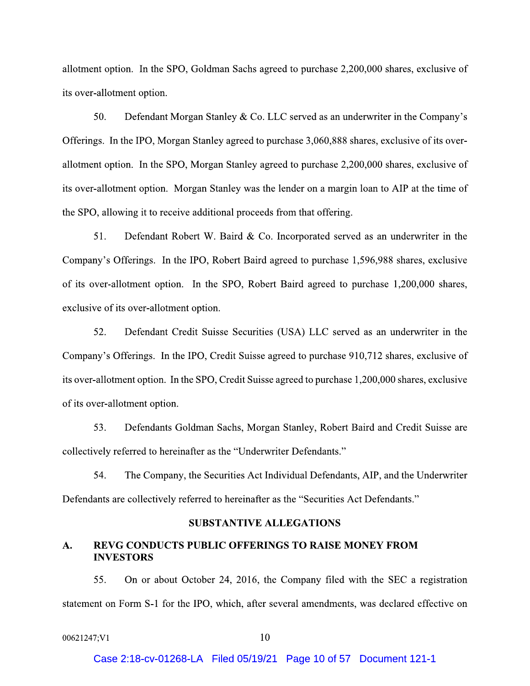allotment option. In the SPO, Goldman Sachs agreed to purchase 2,200,000 shares, exclusive of its over-allotment option.

50. Defendant Morgan Stanley & Co. LLC served as an underwriter in the Company's Offerings. In the IPO, Morgan Stanley agreed to purchase 3,060,888 shares, exclusive of its overallotment option. In the SPO, Morgan Stanley agreed to purchase 2,200,000 shares, exclusive of its over-allotment option. Morgan Stanley was the lender on a margin loan to AIP at the time of the SPO, allowing it to receive additional proceeds from that offering.

51. Defendant Robert W. Baird & Co. Incorporated served as an underwriter in the Company's Offerings. In the IPO, Robert Baird agreed to purchase 1,596,988 shares, exclusive of its over-allotment option. In the SPO, Robert Baird agreed to purchase 1,200,000 shares, exclusive of its over-allotment option.

52. Defendant Credit Suisse Securities (USA) LLC served as an underwriter in the Company's Offerings. In the IPO, Credit Suisse agreed to purchase 910,712 shares, exclusive of its over-allotment option. In the SPO, Credit Suisse agreed to purchase 1,200,000 shares, exclusive of its over-allotment option.

53. Defendants Goldman Sachs, Morgan Stanley, Robert Baird and Credit Suisse are collectively referred to hereinafter as the "Underwriter Defendants."

54. The Company, the Securities Act Individual Defendants, AIP, and the Underwriter Defendants are collectively referred to hereinafter as the "Securities Act Defendants."

## **SUBSTANTIVE ALLEGATIONS**

## **REVG CONDUCTS PUBLIC OFFERINGS TO RAISE MONEY FROM** A. **INVESTORS**

On or about October 24, 2016, the Company filed with the SEC a registration 55. statement on Form S-1 for the IPO, which, after several amendments, was declared effective on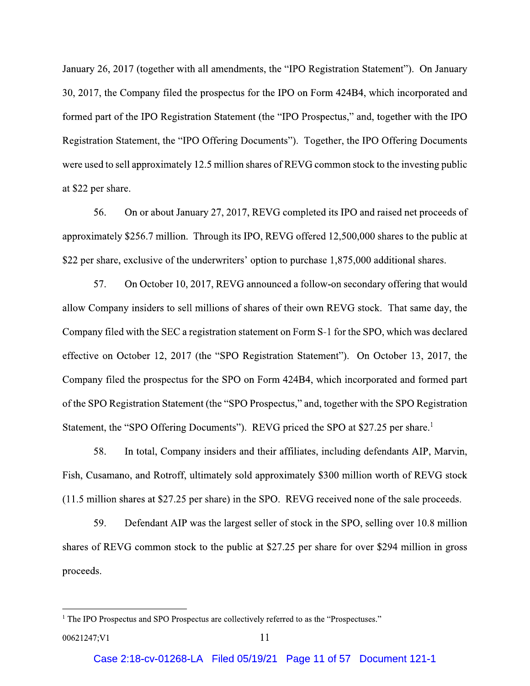January 26, 2017 (together with all amendments, the "IPO Registration Statement"). On January 30, 2017, the Company filed the prospectus for the IPO on Form 424B4, which incorporated and formed part of the IPO Registration Statement (the "IPO Prospectus," and, together with the IPO Registration Statement, the "IPO Offering Documents"). Together, the IPO Offering Documents were used to sell approximately 12.5 million shares of REVG common stock to the investing public at \$22 per share.

56. On or about January 27, 2017, REVG completed its IPO and raised net proceeds of approximately \$256.7 million. Through its IPO, REVG offered 12,500,000 shares to the public at \$22 per share, exclusive of the underwriters' option to purchase 1,875,000 additional shares.

57. On October 10, 2017, REVG announced a follow-on secondary offering that would allow Company insiders to sell millions of shares of their own REVG stock. That same day, the Company filed with the SEC a registration statement on Form S-1 for the SPO, which was declared effective on October 12, 2017 (the "SPO Registration Statement"). On October 13, 2017, the Company filed the prospectus for the SPO on Form 424B4, which incorporated and formed part of the SPO Registration Statement (the "SPO Prospectus," and, together with the SPO Registration Statement, the "SPO Offering Documents"). REVG priced the SPO at \$27.25 per share.<sup>1</sup>

58. In total, Company insiders and their affiliates, including defendants AIP, Marvin, Fish, Cusamano, and Rotroff, ultimately sold approximately \$300 million worth of REVG stock (11.5 million shares at \$27.25 per share) in the SPO. REVG received none of the sale proceeds.

59. Defendant AIP was the largest seller of stock in the SPO, selling over 10.8 million shares of REVG common stock to the public at \$27.25 per share for over \$294 million in gross proceeds.

<sup>&</sup>lt;sup>1</sup> The IPO Prospectus and SPO Prospectus are collectively referred to as the "Prospectuses."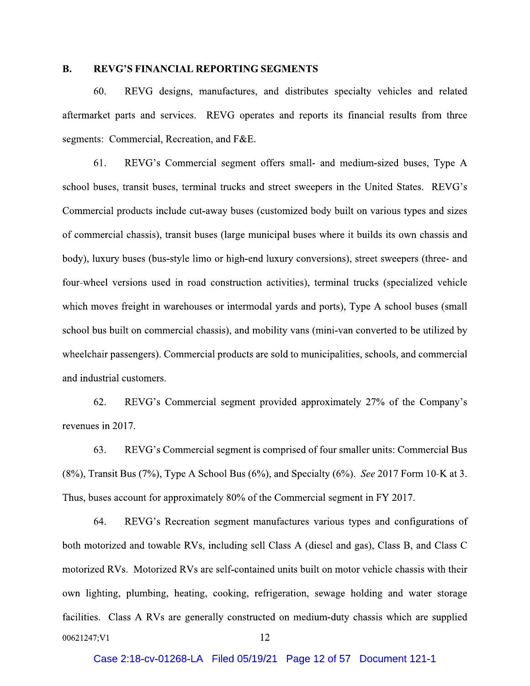#### $\mathbf{B}$ . **REVG'S FINANCIAL REPORTING SEGMENTS**

60. REVG designs, manufactures, and distributes specialty vehicles and related aftermarket parts and services. REVG operates and reports its financial results from three segments: Commercial, Recreation, and F&E.

61. REVG's Commercial segment offers small- and medium-sized buses, Type A school buses, transit buses, terminal trucks and street sweepers in the United States. REVG's Commercial products include cut-away buses (customized body built on various types and sizes of commercial chassis), transit buses (large municipal buses where it builds its own chassis and body), luxury buses (bus-style limo or high-end luxury conversions), street sweepers (three- and four-wheel versions used in road construction activities), terminal trucks (specialized vehicle which moves freight in warehouses or intermodal yards and ports), Type A school buses (small school bus built on commercial chassis), and mobility vans (mini-van converted to be utilized by wheelchair passengers). Commercial products are sold to municipalities, schools, and commercial and industrial customers.

62. REVG's Commercial segment provided approximately 27% of the Company's revenues in 2017.

63. REVG's Commercial segment is comprised of four smaller units: Commercial Bus  $(8\%)$ , Transit Bus (7%), Type A School Bus (6%), and Specialty (6%). See 2017 Form 10-K at 3. Thus, buses account for approximately 80% of the Commercial segment in FY 2017.

64. REVG's Recreation segment manufactures various types and configurations of both motorized and towable RVs, including sell Class A (diesel and gas), Class B, and Class C motorized RVs. Motorized RVs are self-contained units built on motor vehicle chassis with their own lighting, plumbing, heating, cooking, refrigeration, sewage holding and water storage facilities. Class A RVs are generally constructed on medium-duty chassis which are supplied 12 00621247;V1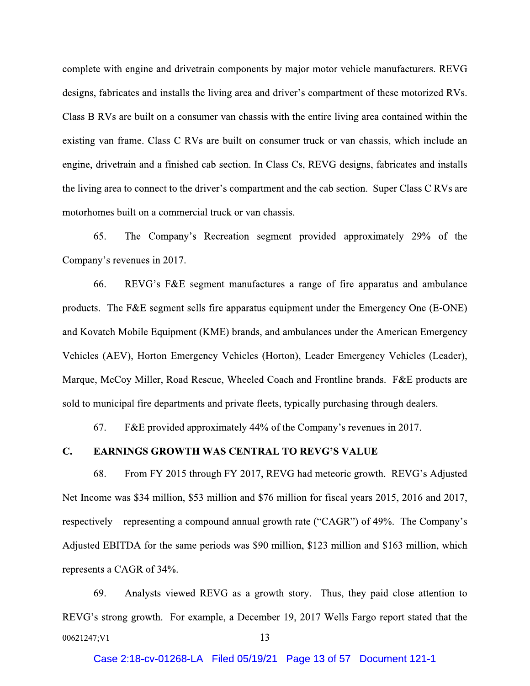complete with engine and drivetrain components by major motor vehicle manufacturers. REVG designs, fabricates and installs the living area and driver's compartment of these motorized RVs. Class B RVs are built on a consumer van chassis with the entire living area contained within the existing van frame. Class C RVs are built on consumer truck or van chassis, which include an engine, drivetrain and a finished cab section. In Class Cs, REVG designs, fabricates and installs the living area to connect to the driver's compartment and the cab section. Super Class C RVs are motorhomes built on a commercial truck or van chassis.

The Company's Recreation segment provided approximately 29% of the 65. Company's revenues in 2017.

66. REVG's F&E segment manufactures a range of fire apparatus and ambulance products. The F&E segment sells fire apparatus equipment under the Emergency One (E-ONE) and Kovatch Mobile Equipment (KME) brands, and ambulances under the American Emergency Vehicles (AEV), Horton Emergency Vehicles (Horton), Leader Emergency Vehicles (Leader), Marque, McCoy Miller, Road Rescue, Wheeled Coach and Frontline brands. F&E products are sold to municipal fire departments and private fleets, typically purchasing through dealers.

67. F&E provided approximately 44% of the Company's revenues in 2017.

#### $\mathbf{C}$ . **EARNINGS GROWTH WAS CENTRAL TO REVG'S VALUE**

68. From FY 2015 through FY 2017, REVG had meteoric growth. REVG's Adjusted Net Income was \$34 million, \$53 million and \$76 million for fiscal years 2015, 2016 and 2017, respectively – representing a compound annual growth rate ("CAGR") of 49%. The Company's Adjusted EBITDA for the same periods was \$90 million, \$123 million and \$163 million, which represents a CAGR of 34%.

69. Analysts viewed REVG as a growth story. Thus, they paid close attention to REVG's strong growth. For example, a December 19, 2017 Wells Fargo report stated that the 13 00621247;V1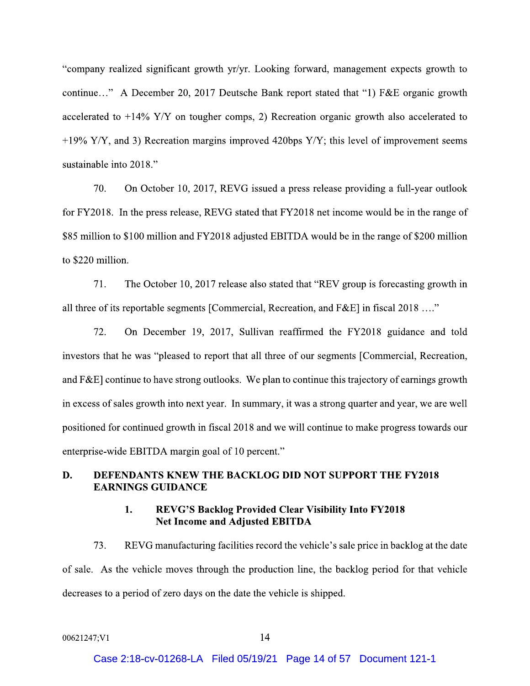"company realized significant growth yr/yr. Looking forward, management expects growth to continue..." A December 20, 2017 Deutsche Bank report stated that "1) F&E organic growth accelerated to  $+14\%$  Y/Y on tougher comps, 2) Recreation organic growth also accelerated to +19% Y/Y, and 3) Recreation margins improved 420bps Y/Y; this level of improvement seems sustainable into 2018."

70. On October 10, 2017, REVG issued a press release providing a full-year outlook for FY2018. In the press release, REVG stated that FY2018 net income would be in the range of \$85 million to \$100 million and FY2018 adjusted EBITDA would be in the range of \$200 million to \$220 million.

 $71.$ The October 10, 2017 release also stated that "REV group is forecasting growth in all three of its reportable segments [Commercial, Recreation, and F&E] in fiscal 2018 ...."

72. On December 19, 2017, Sullivan reaffirmed the FY2018 guidance and told investors that he was "pleased to report that all three of our segments [Commercial, Recreation, and F&E] continue to have strong outlooks. We plan to continue this trajectory of earnings growth in excess of sales growth into next year. In summary, it was a strong quarter and year, we are well positioned for continued growth in fiscal 2018 and we will continue to make progress towards our enterprise-wide EBITDA margin goal of 10 percent."

## **DEFENDANTS KNEW THE BACKLOG DID NOT SUPPORT THE FY2018** D. **EARNINGS GUIDANCE**

### **REVG'S Backlog Provided Clear Visibility Into FY2018** 1. **Net Income and Adjusted EBITDA**

73. REVG manufacturing facilities record the vehicle's sale price in backlog at the date of sale. As the vehicle moves through the production line, the backlog period for that vehicle decreases to a period of zero days on the date the vehicle is shipped.

```
00621247;V1
```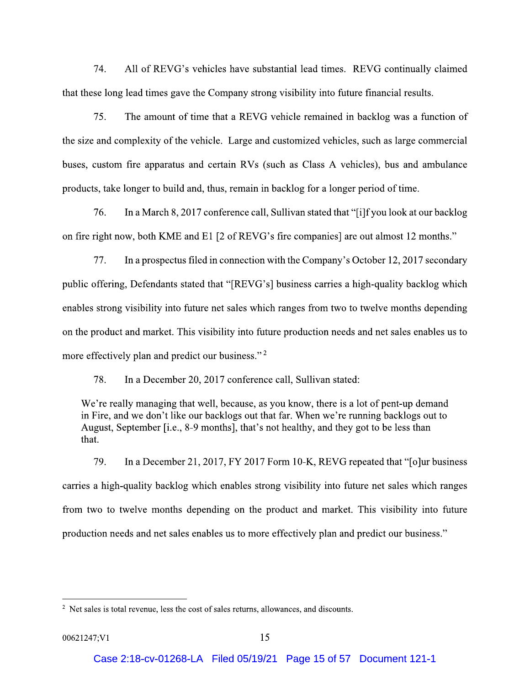74. All of REVG's vehicles have substantial lead times. REVG continually claimed that these long lead times gave the Company strong visibility into future financial results.

75. The amount of time that a REVG vehicle remained in backlog was a function of the size and complexity of the vehicle. Large and customized vehicles, such as large commercial buses, custom fire apparatus and certain RVs (such as Class A vehicles), bus and ambulance products, take longer to build and, thus, remain in backlog for a longer period of time.

76. In a March 8, 2017 conference call, Sullivan stated that "[i]f you look at our backlog on fire right now, both KME and E1 [2 of REVG's fire companies] are out almost 12 months."

77. In a prospectus filed in connection with the Company's October 12, 2017 secondary public offering, Defendants stated that "[REVG's] business carries a high-quality backlog which enables strong visibility into future net sales which ranges from two to twelve months depending on the product and market. This visibility into future production needs and net sales enables us to more effectively plan and predict our business."<sup>2</sup>

78. In a December 20, 2017 conference call, Sullivan stated:

We're really managing that well, because, as you know, there is a lot of pent-up demand in Fire, and we don't like our backlogs out that far. When we're running backlogs out to August, September [i.e., 8-9 months], that's not healthy, and they got to be less than that.

79. In a December 21, 2017, FY 2017 Form 10-K, REVG repeated that "[o]ur business carries a high-quality backlog which enables strong visibility into future net sales which ranges from two to twelve months depending on the product and market. This visibility into future production needs and net sales enables us to more effectively plan and predict our business."

<sup>&</sup>lt;sup>2</sup> Net sales is total revenue, less the cost of sales returns, allowances, and discounts.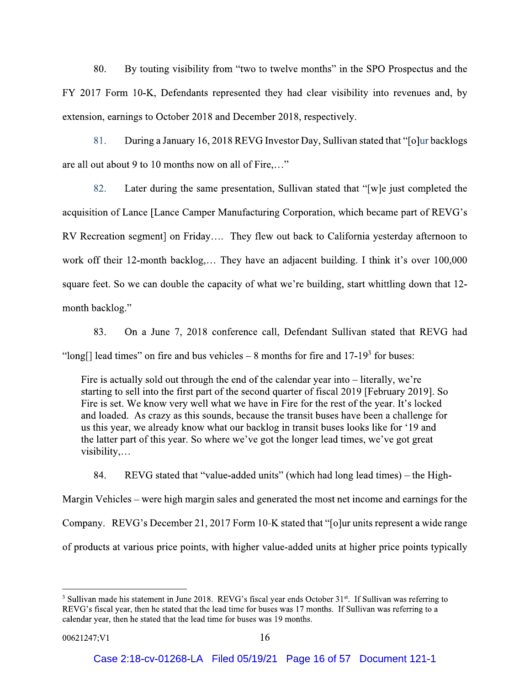80. By touting visibility from "two to twelve months" in the SPO Prospectus and the FY 2017 Form 10-K, Defendants represented they had clear visibility into revenues and, by extension, earnings to October 2018 and December 2018, respectively.

81. During a January 16, 2018 REVG Investor Day, Sullivan stated that "[o]ur backlogs are all out about 9 to 10 months now on all of Fire...."

82. Later during the same presentation, Sullivan stated that "[w]e just completed the acquisition of Lance [Lance Camper Manufacturing Corporation, which became part of REVG's RV Recreation segment] on Friday.... They flew out back to California yesterday afternoon to work off their 12-month backlog.... They have an adjacent building. I think it's over 100,000 square feet. So we can double the capacity of what we're building, start whittling down that 12month backlog."

83. On a June 7, 2018 conference call, Defendant Sullivan stated that REVG had "long[] lead times" on fire and bus vehicles  $-8$  months for fire and 17-19<sup>3</sup> for buses:

Fire is actually sold out through the end of the calendar year into  $-$  literally, we're starting to sell into the first part of the second quarter of fiscal 2019 [February 2019]. So Fire is set. We know very well what we have in Fire for the rest of the year. It's locked and loaded. As crazy as this sounds, because the transit buses have been a challenge for us this year, we already know what our backlog in transit buses looks like for '19 and the latter part of this year. So where we've got the longer lead times, we've got great visibility,...

84. REVG stated that "value-added units" (which had long lead times) – the High-Margin Vehicles – were high margin sales and generated the most net income and earnings for the Company. REVG's December 21, 2017 Form 10-K stated that "[o]ur units represent a wide range of products at various price points, with higher value-added units at higher price points typically

<sup>&</sup>lt;sup>3</sup> Sullivan made his statement in June 2018. REVG's fiscal year ends October 31<sup>st</sup>. If Sullivan was referring to REVG's fiscal year, then he stated that the lead time for buses was 17 months. If Sullivan was referring to a calendar year, then he stated that the lead time for buses was 19 months.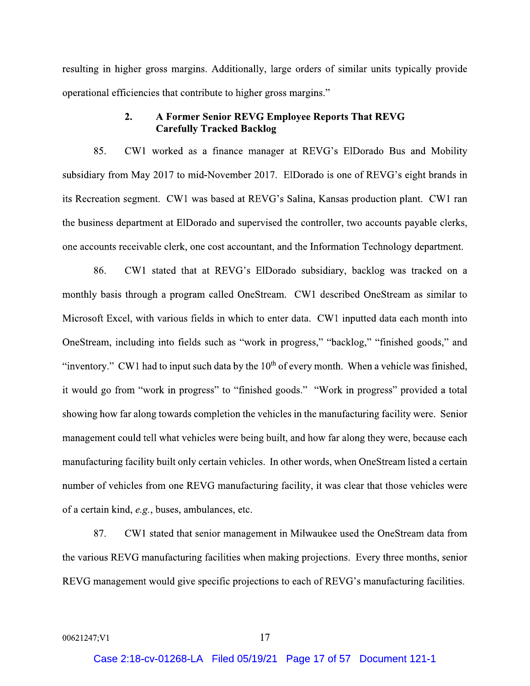resulting in higher gross margins. Additionally, large orders of similar units typically provide operational efficiencies that contribute to higher gross margins."

## A Former Senior REVG Employee Reports That REVG  $2.$ **Carefully Tracked Backlog**

85. CW1 worked as a finance manager at REVG's ElDorado Bus and Mobility subsidiary from May 2017 to mid-November 2017. ElDorado is one of REVG's eight brands in its Recreation segment. CW1 was based at REVG's Salina, Kansas production plant. CW1 ran the business department at ElDorado and supervised the controller, two accounts payable clerks, one accounts receivable clerk, one cost accountant, and the Information Technology department.

86. CW1 stated that at REVG's ElDorado subsidiary, backlog was tracked on a monthly basis through a program called OneStream. CW1 described OneStream as similar to Microsoft Excel, with various fields in which to enter data. CW1 inputted data each month into OneStream, including into fields such as "work in progress," "backlog," "finished goods," and "inventory." CW1 had to input such data by the  $10<sup>th</sup>$  of every month. When a vehicle was finished, it would go from "work in progress" to "finished goods." "Work in progress" provided a total showing how far along towards completion the vehicles in the manufacturing facility were. Senior management could tell what vehicles were being built, and how far along they were, because each manufacturing facility built only certain vehicles. In other words, when OneStream listed a certain number of vehicles from one REVG manufacturing facility, it was clear that those vehicles were of a certain kind, e.g., buses, ambulances, etc.

87. CW1 stated that senior management in Milwaukee used the OneStream data from the various REVG manufacturing facilities when making projections. Every three months, senior REVG management would give specific projections to each of REVG's manufacturing facilities.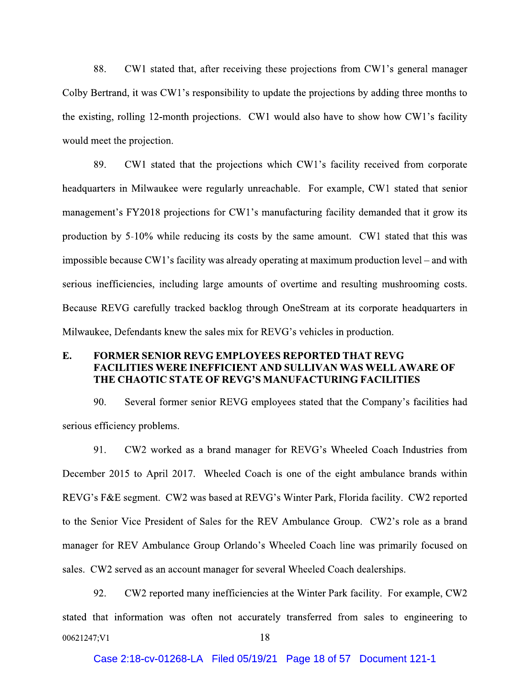88. CW1 stated that, after receiving these projections from CW1's general manager Colby Bertrand, it was CW1's responsibility to update the projections by adding three months to the existing, rolling 12-month projections. CW1 would also have to show how CW1's facility would meet the projection.

89. CW1 stated that the projections which CW1's facility received from corporate headquarters in Milwaukee were regularly unreachable. For example, CW1 stated that senior management's FY2018 projections for CW1's manufacturing facility demanded that it grow its production by 5-10% while reducing its costs by the same amount. CW1 stated that this was impossible because CW1's facility was already operating at maximum production level – and with serious inefficiencies, including large amounts of overtime and resulting mushrooming costs. Because REVG carefully tracked backlog through OneStream at its corporate headquarters in Milwaukee, Defendants knew the sales mix for REVG's vehicles in production.

## E. **FORMER SENIOR REVG EMPLOYEES REPORTED THAT REVG FACILITIES WERE INEFFICIENT AND SULLIVAN WAS WELL AWARE OF** THE CHAOTIC STATE OF REVG'S MANUFACTURING FACILITIES

90. Several former senior REVG employees stated that the Company's facilities had serious efficiency problems.

 $91$ CW2 worked as a brand manager for REVG's Wheeled Coach Industries from December 2015 to April 2017. Wheeled Coach is one of the eight ambulance brands within REVG's F&E segment. CW2 was based at REVG's Winter Park, Florida facility. CW2 reported to the Senior Vice President of Sales for the REV Ambulance Group. CW2's role as a brand manager for REV Ambulance Group Orlando's Wheeled Coach line was primarily focused on sales. CW2 served as an account manager for several Wheeled Coach dealerships.

92. CW2 reported many inefficiencies at the Winter Park facility. For example, CW2 stated that information was often not accurately transferred from sales to engineering to 18 00621247;V1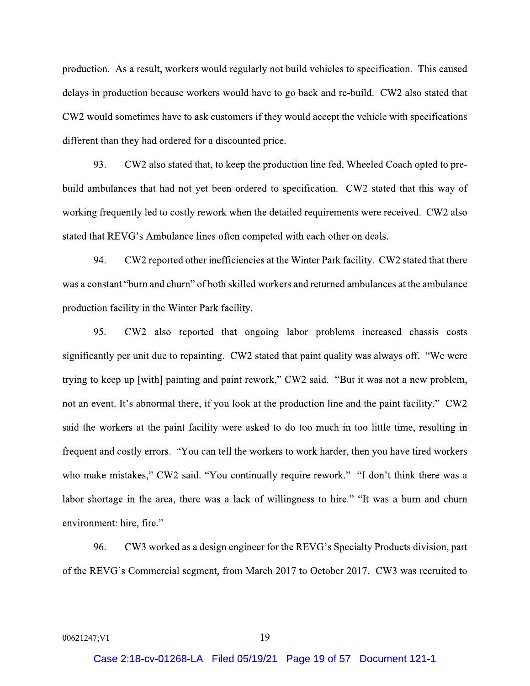production. As a result, workers would regularly not build vehicles to specification. This caused delays in production because workers would have to go back and re-build. CW2 also stated that CW2 would sometimes have to ask customers if they would accept the vehicle with specifications different than they had ordered for a discounted price.

93. CW2 also stated that, to keep the production line fed, Wheeled Coach opted to prebuild ambulances that had not yet been ordered to specification. CW2 stated that this way of working frequently led to costly rework when the detailed requirements were received. CW2 also stated that REVG's Ambulance lines often competed with each other on deals.

94. CW2 reported other inefficiencies at the Winter Park facility. CW2 stated that there was a constant "burn and churn" of both skilled workers and returned ambulances at the ambulance production facility in the Winter Park facility.

95. CW2 also reported that ongoing labor problems increased chassis costs significantly per unit due to repainting. CW2 stated that paint quality was always off. "We were trying to keep up [with] painting and paint rework," CW2 said. "But it was not a new problem, not an event. It's abnormal there, if you look at the production line and the paint facility." CW2 said the workers at the paint facility were asked to do too much in too little time, resulting in frequent and costly errors. "You can tell the workers to work harder, then you have tired workers who make mistakes," CW2 said. "You continually require rework." "I don't think there was a labor shortage in the area, there was a lack of willingness to hire." "It was a burn and churn environment: hire, fire."

96. CW3 worked as a design engineer for the REVG's Specialty Products division, part of the REVG's Commercial segment, from March 2017 to October 2017. CW3 was recruited to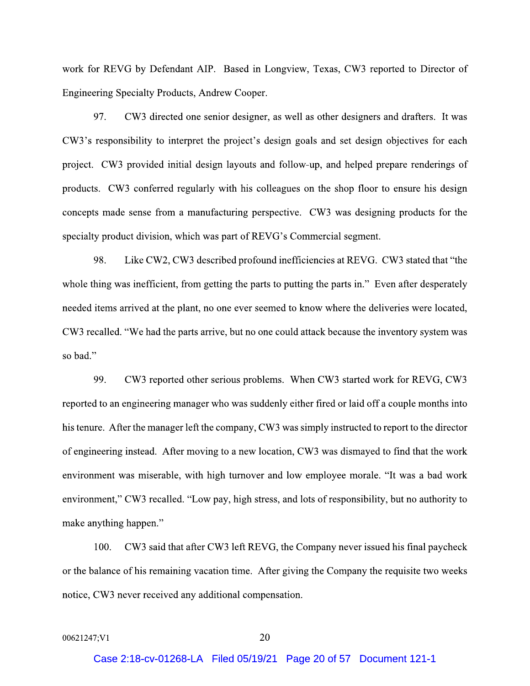work for REVG by Defendant AIP. Based in Longview, Texas, CW3 reported to Director of Engineering Specialty Products, Andrew Cooper.

97. CW3 directed one senior designer, as well as other designers and drafters. It was CW3's responsibility to interpret the project's design goals and set design objectives for each project. CW3 provided initial design layouts and follow-up, and helped prepare renderings of products. CW3 conferred regularly with his colleagues on the shop floor to ensure his design concepts made sense from a manufacturing perspective. CW3 was designing products for the specialty product division, which was part of REVG's Commercial segment.

98. Like CW2, CW3 described profound inefficiencies at REVG. CW3 stated that "the whole thing was inefficient, from getting the parts to putting the parts in." Even after desperately needed items arrived at the plant, no one ever seemed to know where the deliveries were located, CW3 recalled. "We had the parts arrive, but no one could attack because the inventory system was so bad."

99. CW3 reported other serious problems. When CW3 started work for REVG, CW3 reported to an engineering manager who was suddenly either fired or laid off a couple months into his tenure. After the manager left the company, CW3 was simply instructed to report to the director of engineering instead. After moving to a new location, CW3 was dismayed to find that the work environment was miserable, with high turnover and low employee morale. "It was a bad work environment," CW3 recalled. "Low pay, high stress, and lots of responsibility, but no authority to make anything happen."

CW3 said that after CW3 left REVG, the Company never issued his final paycheck  $100.$ or the balance of his remaining vacation time. After giving the Company the requisite two weeks notice, CW3 never received any additional compensation.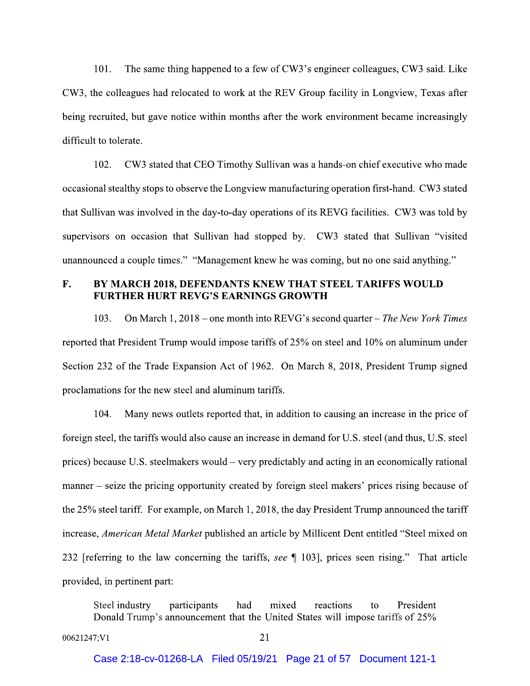$101.$ The same thing happened to a few of CW3's engineer colleagues, CW3 said. Like CW3, the colleagues had relocated to work at the REV Group facility in Longview, Texas after being recruited, but gave notice within months after the work environment became increasingly difficult to tolerate.

CW3 stated that CEO Timothy Sullivan was a hands-on chief executive who made 102. occasional stealthy stops to observe the Longview manufacturing operation first-hand. CW3 stated that Sullivan was involved in the day-to-day operations of its REVG facilities. CW3 was told by supervisors on occasion that Sullivan had stopped by. CW3 stated that Sullivan "visited" unannounced a couple times." "Management knew he was coming, but no one said anything."

### $\mathbf{F}$ . BY MARCH 2018, DEFENDANTS KNEW THAT STEEL TARIFFS WOULD **FURTHER HURT REVG'S EARNINGS GROWTH**

103. On March 1, 2018 – one month into REVG's second quarter – The New York Times reported that President Trump would impose tariffs of 25% on steel and 10% on aluminum under Section 232 of the Trade Expansion Act of 1962. On March 8, 2018, President Trump signed proclamations for the new steel and aluminum tariffs.

104. Many news outlets reported that, in addition to causing an increase in the price of foreign steel, the tariffs would also cause an increase in demand for U.S. steel (and thus, U.S. steel prices) because U.S. steelmakers would – very predictably and acting in an economically rational manner – seize the pricing opportunity created by foreign steel makers' prices rising because of the 25% steel tariff. For example, on March 1, 2018, the day President Trump announced the tariff increase, American Metal Market published an article by Millicent Dent entitled "Steel mixed on 232 [referring to the law concerning the tariffs, see ¶ 103], prices seen rising." That article provided, in pertinent part:

Steel industry participants had mixed reactions President to Donald Trump's announcement that the United States will impose tariffs of 25%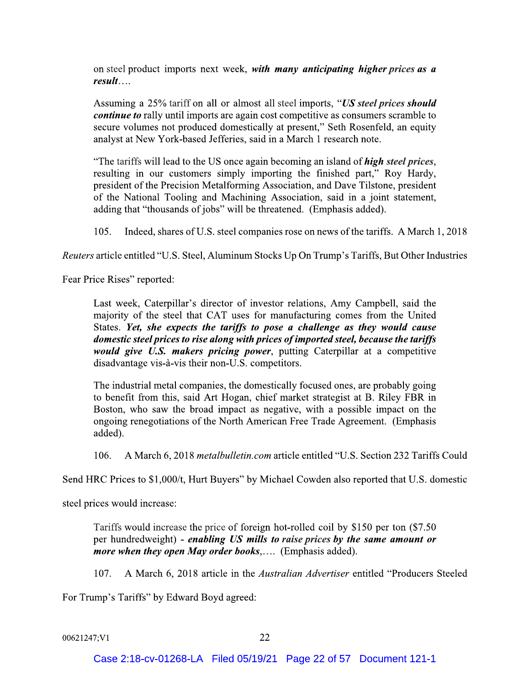on steel product imports next week, with many anticipating higher prices as a  $result...$ 

Assuming a 25% tariff on all or almost all steel imports, "US steel prices should *continue to* rally until imports are again cost competitive as consumers scramble to secure volumes not produced domestically at present," Seth Rosenfeld, an equity analyst at New York-based Jefferies, said in a March 1 research note.

"The tariffs will lead to the US once again becoming an island of *high steel prices*, resulting in our customers simply importing the finished part," Roy Hardy, president of the Precision Metalforming Association, and Dave Tilstone, president of the National Tooling and Machining Association, said in a joint statement, adding that "thousands of jobs" will be threatened. (Emphasis added).

 $105.$ Indeed, shares of U.S. steel companies rose on news of the tariffs. A March 1, 2018

Reuters article entitled "U.S. Steel, Aluminum Stocks Up On Trump's Tariffs, But Other Industries

Fear Price Rises" reported:

Last week, Caterpillar's director of investor relations, Amy Campbell, said the majority of the steel that CAT uses for manufacturing comes from the United States. Yet, she expects the tariffs to pose a challenge as they would cause domestic steel prices to rise along with prices of imported steel, because the tariffs would give U.S. makers pricing power, putting Caterpillar at a competitive disadvantage vis-à-vis their non-U.S. competitors.

The industrial metal companies, the domestically focused ones, are probably going to benefit from this, said Art Hogan, chief market strategist at B. Riley FBR in Boston, who saw the broad impact as negative, with a possible impact on the ongoing renegotiations of the North American Free Trade Agreement. (Emphasis added).

 $106.$ A March 6, 2018 *metalbulletin.com* article entitled "U.S. Section 232 Tariffs Could

Send HRC Prices to \$1,000/t, Hurt Buyers" by Michael Cowden also reported that U.S. domestic

steel prices would increase:

Tariffs would increase the price of foreign hot-rolled coil by \$150 per ton (\$7.50) per hundredweight) - enabling US mills to raise prices by the same amount or more when they open May order books,.... (Emphasis added).

A March 6, 2018 article in the *Australian Advertiser* entitled "Producers Steeled"  $107.$ 

For Trump's Tariffs" by Edward Boyd agreed: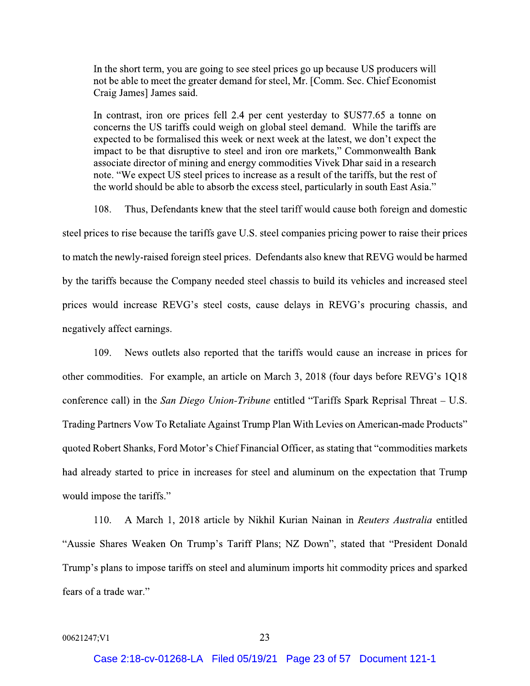In the short term, you are going to see steel prices go up because US producers will not be able to meet the greater demand for steel, Mr. [Comm. Sec. Chief Economist Craig James] James said.

In contrast, iron ore prices fell 2.4 per cent yesterday to \$US77.65 a tonne on concerns the US tariffs could weigh on global steel demand. While the tariffs are expected to be formalised this week or next week at the latest, we don't expect the impact to be that disruptive to steel and iron ore markets," Commonwealth Bank associate director of mining and energy commodities Vivek Dhar said in a research note. "We expect US steel prices to increase as a result of the tariffs, but the rest of the world should be able to absorb the excess steel, particularly in south East Asia."

108. Thus, Defendants knew that the steel tariff would cause both foreign and domestic steel prices to rise because the tariffs gave U.S. steel companies pricing power to raise their prices to match the newly-raised foreign steel prices. Defendants also knew that REVG would be harmed by the tariffs because the Company needed steel chassis to build its vehicles and increased steel prices would increase REVG's steel costs, cause delays in REVG's procuring chassis, and negatively affect earnings.

News outlets also reported that the tariffs would cause an increase in prices for  $109.$ other commodities. For example, an article on March 3, 2018 (four days before REVG's 1Q18 conference call) in the San Diego Union-Tribune entitled "Tariffs Spark Reprisal Threat  $- U.S.$ Trading Partners Vow To Retaliate Against Trump Plan With Levies on American-made Products" quoted Robert Shanks, Ford Motor's Chief Financial Officer, as stating that "commodities markets" had already started to price in increases for steel and aluminum on the expectation that Trump would impose the tariffs."

110. A March 1, 2018 article by Nikhil Kurian Nainan in Reuters Australia entitled "Aussie Shares Weaken On Trump's Tariff Plans; NZ Down", stated that "President Donald" Trump's plans to impose tariffs on steel and aluminum imports hit commodity prices and sparked fears of a trade war."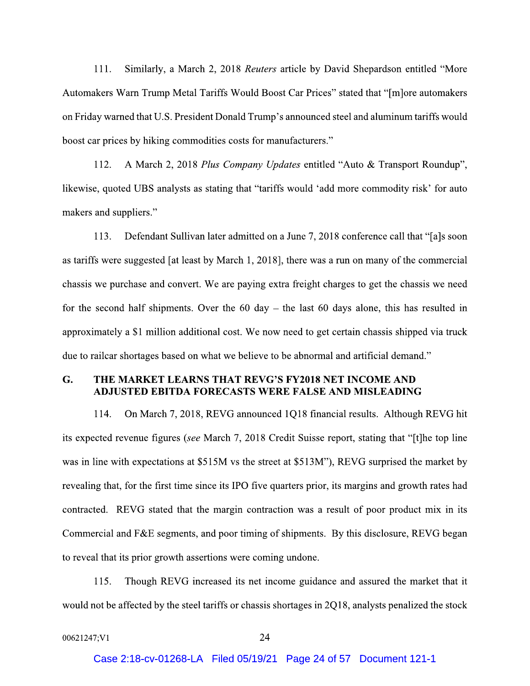Similarly, a March 2, 2018 Reuters article by David Shepardson entitled "More  $111.$ Automakers Warn Trump Metal Tariffs Would Boost Car Prices" stated that "[m]ore automakers on Friday warned that U.S. President Donald Trump's announced steel and aluminum tariffs would boost car prices by hiking commodities costs for manufacturers."

A March 2, 2018 Plus Company Updates entitled "Auto & Transport Roundup",  $112.$ likewise, quoted UBS analysts as stating that "tariffs would 'add more commodity risk' for auto makers and suppliers."

 $113.$ Defendant Sullivan later admitted on a June 7, 2018 conference call that "[a]s soon as tariffs were suggested [at least by March 1, 2018], there was a run on many of the commercial chassis we purchase and convert. We are paying extra freight charges to get the chassis we need for the second half shipments. Over the  $60 \text{ day} - \text{ the last } 60 \text{ days alone, this has resulted in}$ approximately a \$1 million additional cost. We now need to get certain chassis shipped via truck due to railcar shortages based on what we believe to be abnormal and artificial demand."

#### G. THE MARKET LEARNS THAT REVG'S FY2018 NET INCOME AND ADJUSTED EBITDA FORECASTS WERE FALSE AND MISLEADING

On March 7, 2018, REVG announced 1Q18 financial results. Although REVG hit 114. its expected revenue figures (see March 7, 2018 Credit Suisse report, stating that "[t]he top line was in line with expectations at \$515M vs the street at \$513M"), REVG surprised the market by revealing that, for the first time since its IPO five quarters prior, its margins and growth rates had contracted. REVG stated that the margin contraction was a result of poor product mix in its Commercial and F&E segments, and poor timing of shipments. By this disclosure, REVG began to reveal that its prior growth assertions were coming undone.

Though REVG increased its net income guidance and assured the market that it 115. would not be affected by the steel tariffs or chassis shortages in 2Q18, analysts penalized the stock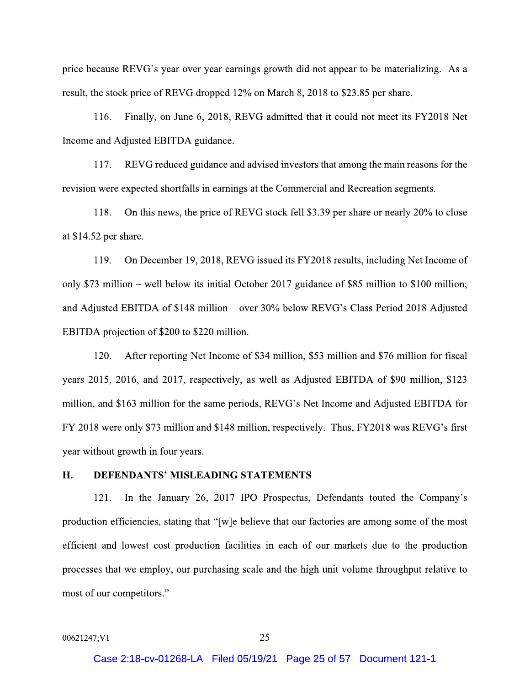price because REVG's year over year earnings growth did not appear to be materializing. As a result, the stock price of REVG dropped 12% on March 8, 2018 to \$23.85 per share.

116. Finally, on June 6, 2018, REVG admitted that it could not meet its FY2018 Net Income and Adjusted EBITDA guidance.

117. REVG reduced guidance and advised investors that among the main reasons for the revision were expected shortfalls in earnings at the Commercial and Recreation segments.

118. On this news, the price of REVG stock fell \$3.39 per share or nearly 20% to close at  $$14.52$  per share.

119. On December 19, 2018, REVG issued its FY2018 results, including Net Income of only \$73 million – well below its initial October 2017 guidance of \$85 million to \$100 million; and Adjusted EBITDA of \$148 million – over 30% below REVG's Class Period 2018 Adjusted EBITDA projection of \$200 to \$220 million.

120. After reporting Net Income of \$34 million, \$53 million and \$76 million for fiscal years 2015, 2016, and 2017, respectively, as well as Adjusted EBITDA of \$90 million, \$123 million, and \$163 million for the same periods, REVG's Net Income and Adjusted EBITDA for FY 2018 were only \$73 million and \$148 million, respectively. Thus, FY 2018 was REVG's first year without growth in four years.

#### H. **DEFENDANTS' MISLEADING STATEMENTS**

In the January 26, 2017 IPO Prospectus, Defendants touted the Company's 121. production efficiencies, stating that "[w]e believe that our factories are among some of the most efficient and lowest cost production facilities in each of our markets due to the production processes that we employ, our purchasing scale and the high unit volume throughput relative to most of our competitors."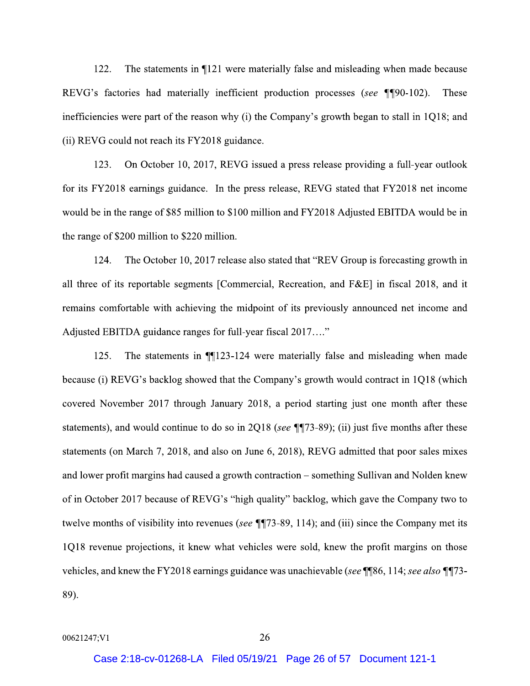122. The statements in ¶121 were materially false and misleading when made because REVG's factories had materially inefficient production processes (see ¶¶90-102). These inefficiencies were part of the reason why (i) the Company's growth began to stall in  $1Q18$ ; and (ii) REVG could not reach its FY2018 guidance.

123. On October 10, 2017, REVG issued a press release providing a full-year outlook for its FY2018 earnings guidance. In the press release, REVG stated that FY2018 net income would be in the range of \$85 million to \$100 million and FY2018 Adjusted EBITDA would be in the range of \$200 million to \$220 million.

124. The October 10, 2017 release also stated that "REV Group is forecasting growth in all three of its reportable segments [Commercial, Recreation, and F&E] in fiscal 2018, and it remains comfortable with achieving the midpoint of its previously announced net income and Adjusted EBITDA guidance ranges for full-year fiscal 2017...."

125. The statements in  $\P$ 123-124 were materially false and misleading when made because (i) REVG's backlog showed that the Company's growth would contract in 1Q18 (which covered November 2017 through January 2018, a period starting just one month after these statements), and would continue to do so in 2Q18 (see  $\P$  $73-89$ ); (ii) just five months after these statements (on March 7, 2018, and also on June 6, 2018), REVG admitted that poor sales mixes and lower profit margins had caused a growth contraction – something Sullivan and Nolden knew of in October 2017 because of REVG's "high quality" backlog, which gave the Company two to twelve months of visibility into revenues (see  $\P$  $[73-89, 114)$ ; and (iii) since the Company met its 1Q18 revenue projections, it knew what vehicles were sold, knew the profit margins on those vehicles, and knew the FY2018 earnings guidance was unachievable (see \[86, 114; see also \[\]] \] 89).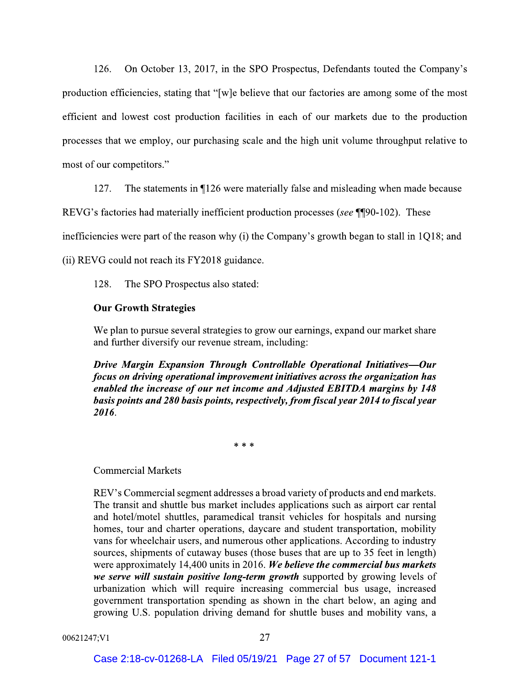On October 13, 2017, in the SPO Prospectus, Defendants touted the Company's  $126.$ production efficiencies, stating that "[w]e believe that our factories are among some of the most efficient and lowest cost production facilities in each of our markets due to the production processes that we employ, our purchasing scale and the high unit volume throughput relative to most of our competitors."

127. The statements in ¶126 were materially false and misleading when made because

REVG's factories had materially inefficient production processes (see ¶[90-102). These

inefficiencies were part of the reason why (i) the Company's growth began to stall in  $1Q18$ ; and

(ii) REVG could not reach its FY2018 guidance.

128. The SPO Prospectus also stated:

## **Our Growth Strategies**

We plan to pursue several strategies to grow our earnings, expand our market share and further diversify our revenue stream, including:

Drive Margin Expansion Through Controllable Operational Initiatives-Our focus on driving operational improvement initiatives across the organization has enabled the increase of our net income and Adjusted EBITDA margins by 148 basis points and 280 basis points, respectively, from fiscal year 2014 to fiscal year 2016.

 $* * *$ 

## **Commercial Markets**

REV's Commercial segment addresses a broad variety of products and end markets. The transit and shuttle bus market includes applications such as airport car rental and hotel/motel shuttles, paramedical transit vehicles for hospitals and nursing homes, tour and charter operations, daycare and student transportation, mobility vans for wheelchair users, and numerous other applications. According to industry sources, shipments of cutaway buses (those buses that are up to 35 feet in length) were approximately 14,400 units in 2016. We believe the commercial bus markets we serve will sustain positive long-term growth supported by growing levels of urbanization which will require increasing commercial bus usage, increased government transportation spending as shown in the chart below, an aging and growing U.S. population driving demand for shuttle buses and mobility vans, a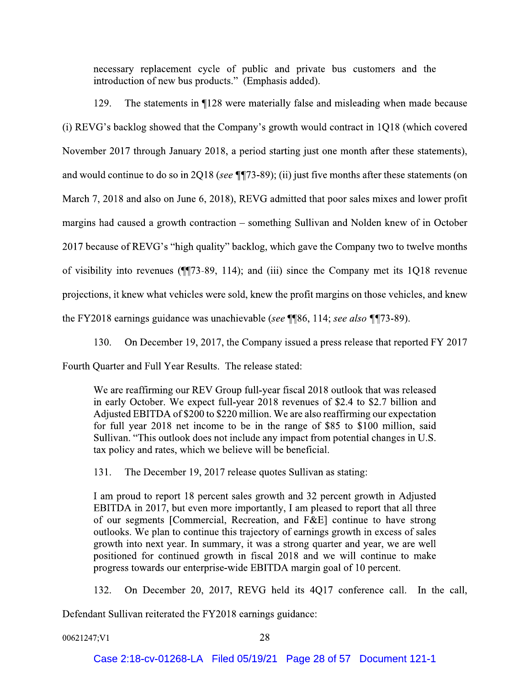necessary replacement cycle of public and private bus customers and the introduction of new bus products." (Emphasis added).

The statements in 1128 were materially false and misleading when made because 129. (i) REVG's backlog showed that the Company's growth would contract in 1Q18 (which covered November 2017 through January 2018, a period starting just one month after these statements), and would continue to do so in 2Q18 (see  $\P$  $[73-89)$ ; (ii) just five months after these statements (on March 7, 2018 and also on June 6, 2018), REVG admitted that poor sales mixes and lower profit margins had caused a growth contraction – something Sullivan and Nolden knew of in October 2017 because of REVG's "high quality" backlog, which gave the Company two to twelve months of visibility into revenues  $(\P\P 73-89, 114)$ ; and (iii) since the Company met its 1Q18 revenue projections, it knew what vehicles were sold, knew the profit margins on those vehicles, and knew the FY2018 earnings guidance was unachievable (see ¶¶86, 114; see also ¶¶73-89).

130. On December 19, 2017, the Company issued a press release that reported FY 2017

Fourth Quarter and Full Year Results. The release stated:

We are reaffirming our REV Group full-year fiscal 2018 outlook that was released in early October. We expect full-year 2018 revenues of \$2.4 to \$2.7 billion and Adjusted EBITDA of \$200 to \$220 million. We are also reaffirming our expectation for full year 2018 net income to be in the range of \$85 to \$100 million, said Sullivan. "This outlook does not include any impact from potential changes in U.S. tax policy and rates, which we believe will be beneficial.

The December 19, 2017 release quotes Sullivan as stating: 131.

I am proud to report 18 percent sales growth and 32 percent growth in Adjusted EBITDA in 2017, but even more importantly, I am pleased to report that all three of our segments [Commercial, Recreation, and  $F\&E$ ] continue to have strong outlooks. We plan to continue this trajectory of earnings growth in excess of sales growth into next year. In summary, it was a strong quarter and year, we are well positioned for continued growth in fiscal 2018 and we will continue to make progress towards our enterprise-wide EBITDA margin goal of 10 percent.

132. On December 20, 2017, REVG held its 4Q17 conference call. In the call,

Defendant Sullivan reiterated the FY2018 earnings guidance: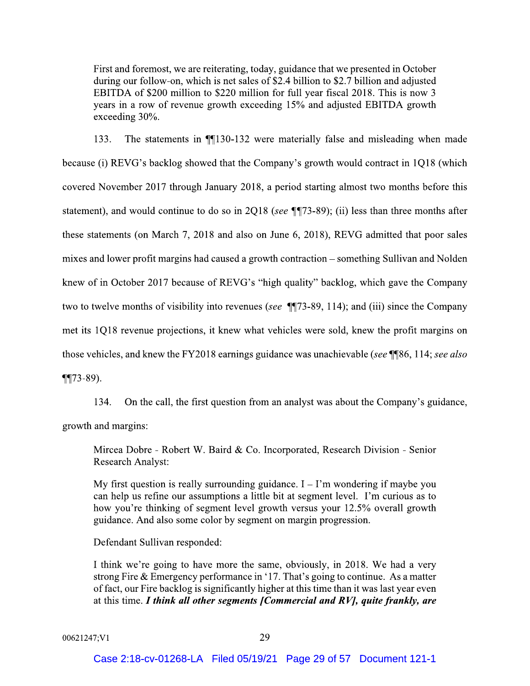First and foremost, we are reiterating, today, guidance that we presented in October during our follow-on, which is net sales of \$2.4 billion to \$2.7 billion and adjusted EBITDA of \$200 million to \$220 million for full year fiscal 2018. This is now 3 years in a row of revenue growth exceeding 15% and adjusted EBITDA growth exceeding 30%.

The statements in 1130-132 were materially false and misleading when made 133. because (i) REVG's backlog showed that the Company's growth would contract in 1Q18 (which covered November 2017 through January 2018, a period starting almost two months before this statement), and would continue to do so in 2Q18 (see  $\P$  $73-89$ ); (ii) less than three months after these statements (on March 7, 2018 and also on June 6, 2018), REVG admitted that poor sales mixes and lower profit margins had caused a growth contraction – something Sullivan and Nolden knew of in October 2017 because of REVG's "high quality" backlog, which gave the Company two to twelve months of visibility into revenues (see ¶[73-89, 114); and (iii) since the Company met its 1Q18 revenue projections, it knew what vehicles were sold, knew the profit margins on those vehicles, and knew the FY2018 earnings guidance was unachievable (see ¶¶86, 114; see also  $\P$  $(73-89)$ .

On the call, the first question from an analyst was about the Company's guidance, 134. growth and margins:

Mircea Dobre - Robert W. Baird & Co. Incorporated, Research Division - Senior **Research Analyst:** 

My first question is really surrounding guidance.  $I - I'm$  wondering if maybe you can help us refine our assumptions a little bit at segment level. I'm curious as to how you're thinking of segment level growth versus your 12.5% overall growth guidance. And also some color by segment on margin progression.

Defendant Sullivan responded:

I think we're going to have more the same, obviously, in 2018. We had a very strong Fire  $&$  Emergency performance in '17. That's going to continue. As a matter of fact, our Fire backlog is significantly higher at this time than it was last year even at this time. I think all other segments [Commercial and RV], quite frankly, are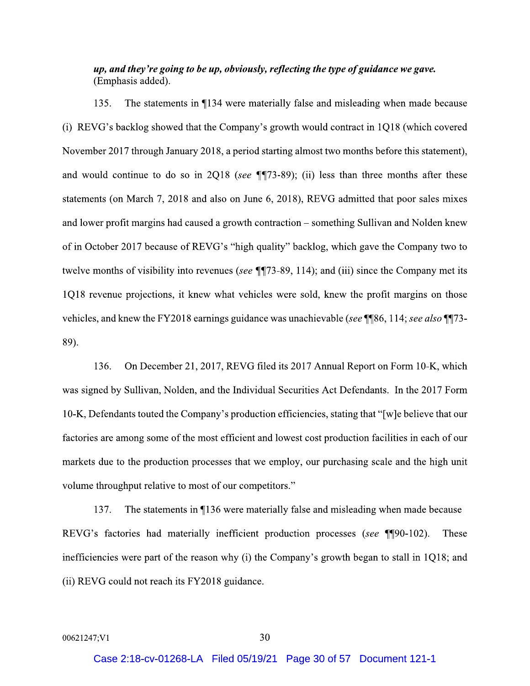# up, and they're going to be up, obviously, reflecting the type of guidance we gave. (Emphasis added).

The statements in ¶134 were materially false and misleading when made because  $135.$ (i) REVG's backlog showed that the Company's growth would contract in 1Q18 (which covered November 2017 through January 2018, a period starting almost two months before this statement), and would continue to do so in 2Q18 (see  $\P$  $73-89$ ); (ii) less than three months after these statements (on March 7, 2018 and also on June 6, 2018), REVG admitted that poor sales mixes and lower profit margins had caused a growth contraction – something Sullivan and Nolden knew of in October 2017 because of REVG's "high quality" backlog, which gave the Company two to twelve months of visibility into revenues (see  $\P$  $[73-89, 114)$ ; and (iii) since the Company met its 1Q18 revenue projections, it knew what vehicles were sold, knew the profit margins on those vehicles, and knew the FY2018 earnings guidance was unachievable (see ¶86, 114; see also ¶73-89).

136. On December 21, 2017, REVG filed its 2017 Annual Report on Form 10-K, which was signed by Sullivan, Nolden, and the Individual Securities Act Defendants. In the 2017 Form 10-K, Defendants touted the Company's production efficiencies, stating that "[w]e believe that our factories are among some of the most efficient and lowest cost production facilities in each of our markets due to the production processes that we employ, our purchasing scale and the high unit volume throughput relative to most of our competitors."

137. The statements in ¶136 were materially false and misleading when made because REVG's factories had materially inefficient production processes (see ¶[90-102). These inefficiencies were part of the reason why (i) the Company's growth began to stall in 1Q18; and (ii) REVG could not reach its FY2018 guidance.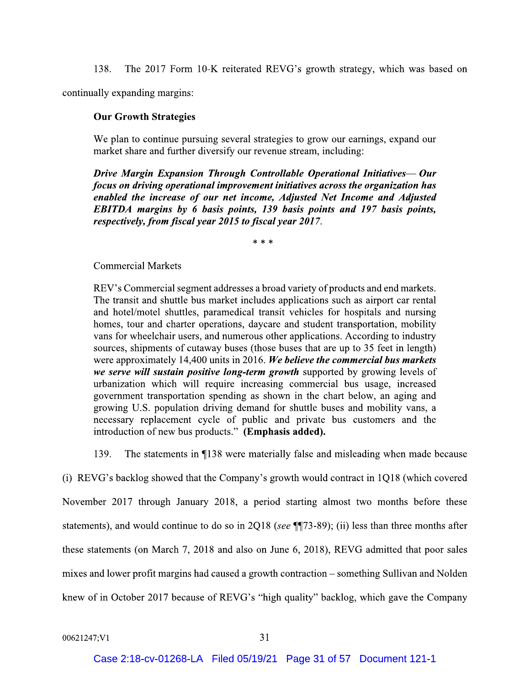The 2017 Form 10-K reiterated REVG's growth strategy, which was based on 138.

continually expanding margins:

## **Our Growth Strategies**

We plan to continue pursuing several strategies to grow our earnings, expand our market share and further diversify our revenue stream, including:

Drive Margin Expansion Through Controllable Operational Initiatives-Our focus on driving operational improvement initiatives across the organization has enabled the increase of our net income, Adjusted Net Income and Adjusted EBITDA margins by 6 basis points, 139 basis points and 197 basis points, respectively, from fiscal year 2015 to fiscal year 2017.

 $**$ 

## **Commercial Markets**

REV's Commercial segment addresses a broad variety of products and end markets. The transit and shuttle bus market includes applications such as airport car rental and hotel/motel shuttles, paramedical transit vehicles for hospitals and nursing homes, tour and charter operations, daycare and student transportation, mobility vans for wheelchair users, and numerous other applications. According to industry sources, shipments of cutaway buses (those buses that are up to 35 feet in length) were approximately 14,400 units in 2016. We believe the commercial bus markets we serve will sustain positive long-term growth supported by growing levels of urbanization which will require increasing commercial bus usage, increased government transportation spending as shown in the chart below, an aging and growing U.S. population driving demand for shuttle buses and mobility vans, a necessary replacement cycle of public and private bus customers and the introduction of new bus products." (Emphasis added).

139. The statements in 1138 were materially false and misleading when made because

(i) REVG's backlog showed that the Company's growth would contract in 1Q18 (which covered November 2017 through January 2018, a period starting almost two months before these statements), and would continue to do so in 2Q18 (see  $\P$  $73-89$ ); (ii) less than three months after these statements (on March 7, 2018 and also on June 6, 2018), REVG admitted that poor sales mixes and lower profit margins had caused a growth contraction – something Sullivan and Nolden knew of in October 2017 because of REVG's "high quality" backlog, which gave the Company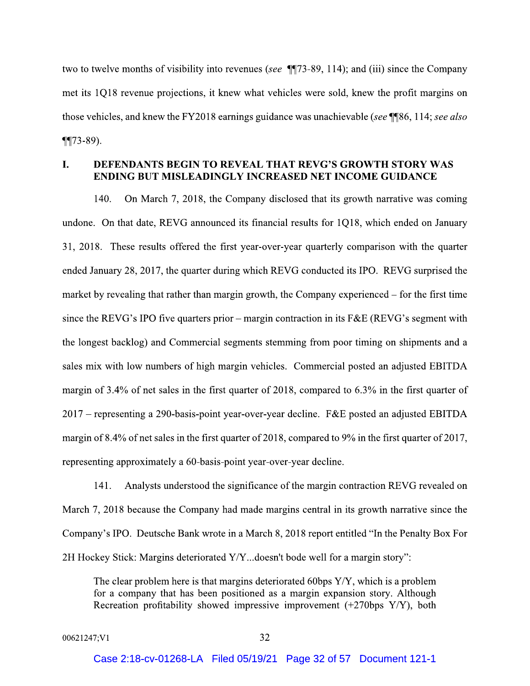two to twelve months of visibility into revenues (see ¶[73-89, 114); and (iii) since the Company met its 1Q18 revenue projections, it knew what vehicles were sold, knew the profit margins on those vehicles, and knew the FY2018 earnings guidance was unachievable (see \[\epsilongs\$6, 114; see also  $\P$  $(73-89)$ .

### L **DEFENDANTS BEGIN TO REVEAL THAT REVG'S GROWTH STORY WAS ENDING BUT MISLEADINGLY INCREASED NET INCOME GUIDANCE**

140. On March 7, 2018, the Company disclosed that its growth narrative was coming undone. On that date, REVG announced its financial results for 1Q18, which ended on January 31, 2018. These results offered the first year-over-year quarterly comparison with the quarter ended January 28, 2017, the quarter during which REVG conducted its IPO. REVG surprised the market by revealing that rather than margin growth, the Company experienced – for the first time since the REVG's IPO five quarters prior – margin contraction in its  $F&E$  (REVG's segment with the longest backlog) and Commercial segments stemming from poor timing on shipments and a sales mix with low numbers of high margin vehicles. Commercial posted an adjusted EBITDA margin of 3.4% of net sales in the first quarter of 2018, compared to 6.3% in the first quarter of 2017 – representing a 290-basis-point year-over-year decline. F&E posted an adjusted EBITDA margin of 8.4% of net sales in the first quarter of 2018, compared to 9% in the first quarter of 2017, representing approximately a 60-basis-point year-over-year decline.

Analysts understood the significance of the margin contraction REVG revealed on 141. March 7, 2018 because the Company had made margins central in its growth narrative since the Company's IPO. Deutsche Bank wrote in a March 8, 2018 report entitled "In the Penalty Box For 2H Hockey Stick: Margins deteriorated Y/Y...doesn't bode well for a margin story":

The clear problem here is that margins deteriorated 60bps  $Y/Y$ , which is a problem for a company that has been positioned as a margin expansion story. Although Recreation profitability showed impressive improvement  $(+270$ bps  $Y/Y$ ), both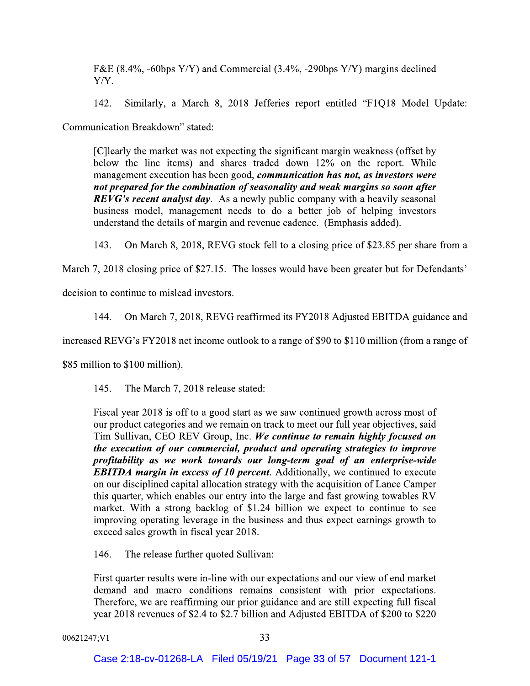F&E (8.4%, -60bps Y/Y) and Commercial (3.4%, -290bps Y/Y) margins declined Y/Y.

142. Similarly, a March 8, 2018 Jefferies report entitled "F1Q18 Model Update:

Communication Breakdown" stated:

[C]learly the market was not expecting the significant margin weakness (offset by below the line items) and shares traded down 12% on the report. While management execution has been good, *communication has not*, as *investors were* not prepared for the combination of seasonality and weak margins so soon after **REVG's recent analyst day.** As a newly public company with a heavily seasonal business model, management needs to do a better job of helping investors understand the details of margin and revenue cadence. (Emphasis added).

143. On March 8, 2018, REVG stock fell to a closing price of \$23.85 per share from a

March 7, 2018 closing price of \$27.15. The losses would have been greater but for Defendants'

decision to continue to mislead investors.

On March 7, 2018, REVG reaffirmed its FY2018 Adjusted EBITDA guidance and 144.

increased REVG's FY2018 net income outlook to a range of \$90 to \$110 million (from a range of

\$85 million to \$100 million).

 $145.$ The March 7, 2018 release stated:

Fiscal year 2018 is off to a good start as we saw continued growth across most of our product categories and we remain on track to meet our full year objectives, said Tim Sullivan, CEO REV Group, Inc. We continue to remain highly focused on the execution of our commercial, product and operating strategies to improve profitability as we work towards our long-term goal of an enterprise-wide **EBITDA** margin in excess of 10 percent. Additionally, we continued to execute on our disciplined capital allocation strategy with the acquisition of Lance Camper this quarter, which enables our entry into the large and fast growing towables RV market. With a strong backlog of \$1.24 billion we expect to continue to see improving operating leverage in the business and thus expect earnings growth to exceed sales growth in fiscal year 2018.

146. The release further quoted Sullivan:

First quarter results were in-line with our expectations and our view of end market demand and macro conditions remains consistent with prior expectations. Therefore, we are reaffirming our prior guidance and are still expecting full fiscal year 2018 revenues of \$2.4 to \$2.7 billion and Adjusted EBITDA of \$200 to \$220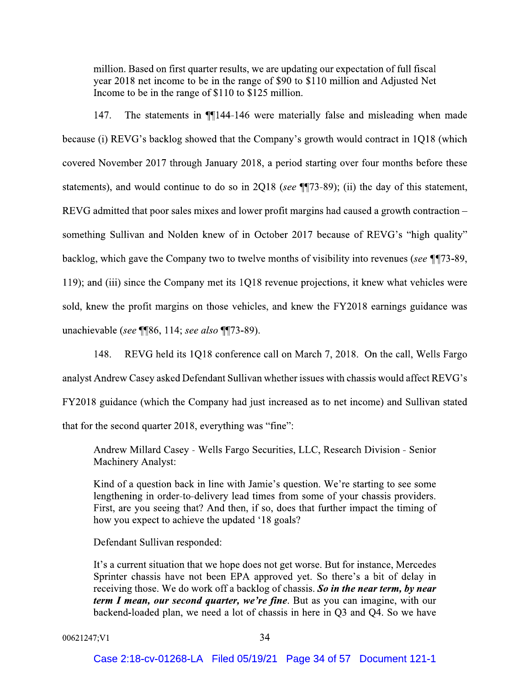million. Based on first quarter results, we are updating our expectation of full fiscal year 2018 net income to be in the range of \$90 to \$110 million and Adjusted Net Income to be in the range of \$110 to \$125 million.

147. The statements in **1144-146** were materially false and misleading when made because (i) REVG's backlog showed that the Company's growth would contract in 1018 (which covered November 2017 through January 2018, a period starting over four months before these statements), and would continue to do so in 2Q18 (see ¶[73-89); (ii) the day of this statement, REVG admitted that poor sales mixes and lower profit margins had caused a growth contraction – something Sullivan and Nolden knew of in October 2017 because of REVG's "high quality" backlog, which gave the Company two to twelve months of visibility into revenues (see \[\mum{173-89}]. 119); and (iii) since the Company met its 1Q18 revenue projections, it knew what vehicles were sold, knew the profit margins on those vehicles, and knew the FY2018 earnings guidance was unachievable (see ¶[86, 114; see also ¶[73-89).

148. REVG held its 1018 conference call on March 7, 2018. On the call, Wells Fargo analyst Andrew Casey asked Defendant Sullivan whether issues with chassis would affect REVG's FY2018 guidance (which the Company had just increased as to net income) and Sullivan stated that for the second quarter 2018, everything was "fine":

Andrew Millard Casey - Wells Fargo Securities, LLC, Research Division - Senior **Machinery Analyst:** 

Kind of a question back in line with Jamie's question. We're starting to see some lengthening in order-to-delivery lead times from some of your chassis providers. First, are you seeing that? And then, if so, does that further impact the timing of how you expect to achieve the updated '18 goals?

Defendant Sullivan responded:

It's a current situation that we hope does not get worse. But for instance, Mercedes Sprinter chassis have not been EPA approved yet. So there's a bit of delay in receiving those. We do work off a backlog of chassis. So in the near term, by near term I mean, our second quarter, we're fine. But as you can imagine, with our backend-loaded plan, we need a lot of chassis in here in Q3 and Q4. So we have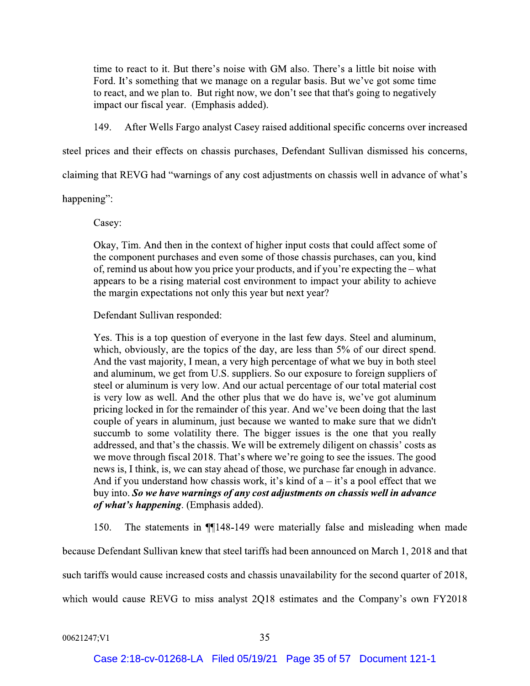time to react to it. But there's noise with GM also. There's a little bit noise with Ford. It's something that we manage on a regular basis. But we've got some time to react, and we plan to. But right now, we don't see that that's going to negatively impact our fiscal year. (Emphasis added).

149. After Wells Fargo analyst Casey raised additional specific concerns over increased

steel prices and their effects on chassis purchases, Defendant Sullivan dismissed his concerns,

claiming that REVG had "warnings of any cost adjustments on chassis well in advance of what's

happening":

Casey:

Okay, Tim. And then in the context of higher input costs that could affect some of the component purchases and even some of those chassis purchases, can you, kind of, remind us about how you price your products, and if you're expecting the – what appears to be a rising material cost environment to impact your ability to achieve the margin expectations not only this year but next year?

Defendant Sullivan responded:

Yes. This is a top question of everyone in the last few days. Steel and aluminum, which, obviously, are the topics of the day, are less than 5% of our direct spend. And the vast majority, I mean, a very high percentage of what we buy in both steel and aluminum, we get from U.S. suppliers. So our exposure to foreign suppliers of steel or aluminum is very low. And our actual percentage of our total material cost is very low as well. And the other plus that we do have is, we've got aluminum pricing locked in for the remainder of this year. And we've been doing that the last couple of years in aluminum, just because we wanted to make sure that we didn't succumb to some volatility there. The bigger issues is the one that you really addressed, and that's the chassis. We will be extremely diligent on chassis' costs as we move through fiscal 2018. That's where we're going to see the issues. The good news is, I think, is, we can stay ahead of those, we purchase far enough in advance. And if you understand how chassis work, it's kind of  $a - it$ 's a pool effect that we buy into. So we have warnings of any cost adjustments on chassis well in advance of what's happening. (Emphasis added).

 $150.$ The statements in  $\P$ [148-149 were materially false and misleading when made

because Defendant Sullivan knew that steel tariffs had been announced on March 1, 2018 and that such tariffs would cause increased costs and chassis unavailability for the second quarter of 2018, which would cause REVG to miss analyst 2Q18 estimates and the Company's own FY2018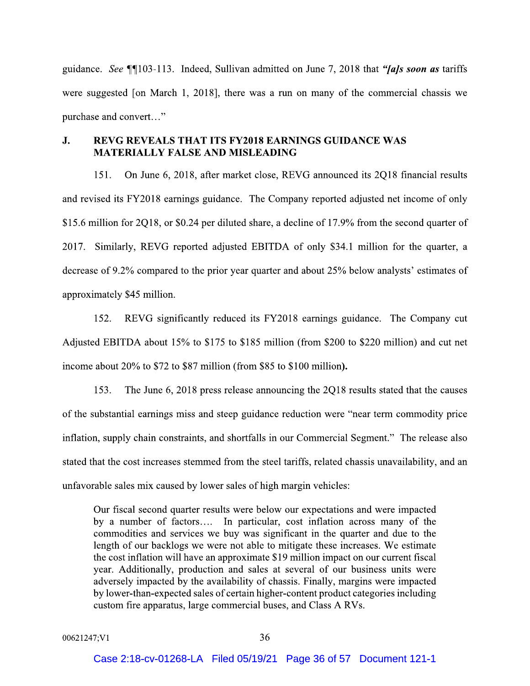guidance. See ¶103-113. Indeed, Sullivan admitted on June 7, 2018 that "*[a]s soon as* tariffs were suggested [on March 1, 2018], there was a run on many of the commercial chassis we purchase and convert..."

#### **REVG REVEALS THAT ITS FY2018 EARNINGS GUIDANCE WAS** J. **MATERIALLY FALSE AND MISLEADING**

On June 6, 2018, after market close, REVG announced its 2Q18 financial results 151. and revised its FY2018 earnings guidance. The Company reported adjusted net income of only \$15.6 million for 2Q18, or \$0.24 per diluted share, a decline of 17.9% from the second quarter of 2017. Similarly, REVG reported adjusted EBITDA of only \$34.1 million for the quarter, a decrease of 9.2% compared to the prior year quarter and about 25% below analysts' estimates of approximately \$45 million.

152. REVG significantly reduced its FY2018 earnings guidance. The Company cut Adjusted EBITDA about 15% to \$175 to \$185 million (from \$200 to \$220 million) and cut net income about 20% to \$72 to \$87 million (from \$85 to \$100 million).

153. The June 6, 2018 press release announcing the 2Q18 results stated that the causes of the substantial earnings miss and steep guidance reduction were "near term commodity price inflation, supply chain constraints, and shortfalls in our Commercial Segment." The release also stated that the cost increases stemmed from the steel tariffs, related chassis unavailability, and an unfavorable sales mix caused by lower sales of high margin vehicles:

Our fiscal second quarter results were below our expectations and were impacted by a number of factors.... In particular, cost inflation across many of the commodities and services we buy was significant in the quarter and due to the length of our backlogs we were not able to mitigate these increases. We estimate the cost inflation will have an approximate \$19 million impact on our current fiscal year. Additionally, production and sales at several of our business units were adversely impacted by the availability of chassis. Finally, margins were impacted by lower-than-expected sales of certain higher-content product categories including custom fire apparatus, large commercial buses, and Class A RVs.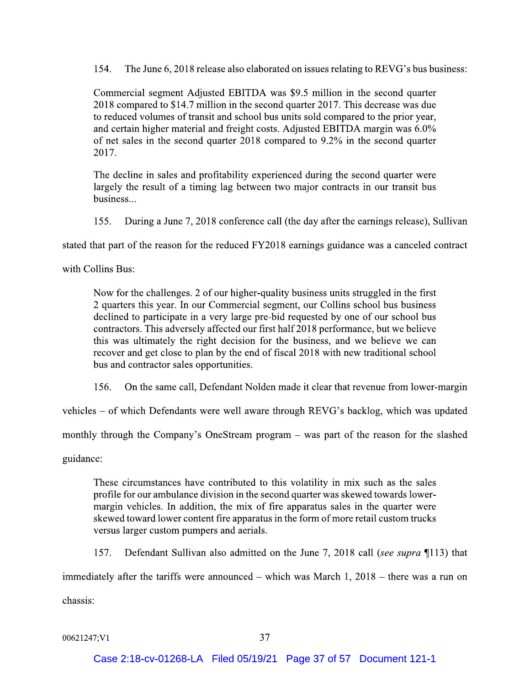154. The June 6, 2018 release also elaborated on issues relating to REVG's bus business:

Commercial segment Adjusted EBITDA was \$9.5 million in the second quarter 2018 compared to \$14.7 million in the second quarter 2017. This decrease was due to reduced volumes of transit and school bus units sold compared to the prior year, and certain higher material and freight costs. Adjusted EBITDA margin was 6.0% of net sales in the second quarter 2018 compared to 9.2% in the second quarter 2017.

The decline in sales and profitability experienced during the second quarter were largely the result of a timing lag between two major contracts in our transit bus business...

155. During a June 7, 2018 conference call (the day after the earnings release), Sullivan

stated that part of the reason for the reduced FY2018 earnings guidance was a canceled contract

with Collins Bus:

Now for the challenges. 2 of our higher-quality business units struggled in the first 2 quarters this year. In our Commercial segment, our Collins school bus business declined to participate in a very large pre-bid requested by one of our school bus contractors. This adversely affected our first half 2018 performance, but we believe this was ultimately the right decision for the business, and we believe we can recover and get close to plan by the end of fiscal 2018 with new traditional school bus and contractor sales opportunities.

156. On the same call, Defendant Nolden made it clear that revenue from lower-margin

vehicles – of which Defendants were well aware through REVG's backlog, which was updated

monthly through the Company's OneStream program – was part of the reason for the slashed

guidance:

These circumstances have contributed to this volatility in mix such as the sales profile for our ambulance division in the second quarter was skewed towards lowermargin vehicles. In addition, the mix of fire apparatus sales in the quarter were skewed toward lower content fire apparatus in the form of more retail custom trucks versus larger custom pumpers and aerials.

157. Defendant Sullivan also admitted on the June 7, 2018 call (see supra 113) that

immediately after the tariffs were announced – which was March 1,  $2018$  – there was a run on

chassis: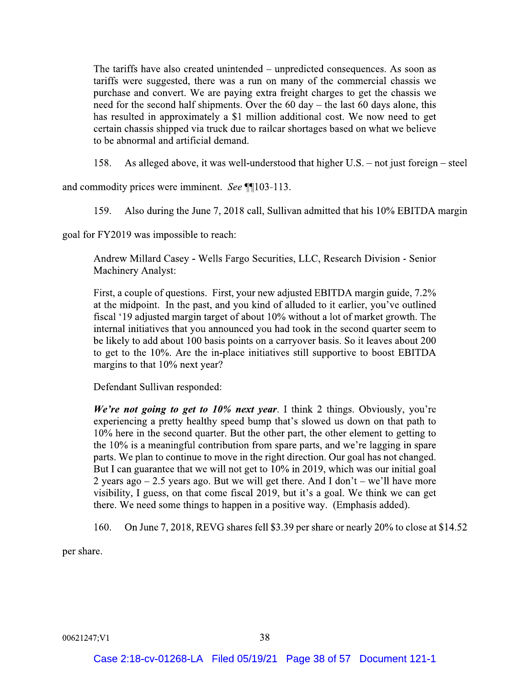The tariffs have also created unintended – unpredicted consequences. As soon as tariffs were suggested, there was a run on many of the commercial chassis we purchase and convert. We are paying extra freight charges to get the chassis we need for the second half shipments. Over the  $60 \text{ day}$  – the last  $60 \text{ days}$  alone, this has resulted in approximately a \$1 million additional cost. We now need to get certain chassis shipped via truck due to railcar shortages based on what we believe to be abnormal and artificial demand.

158. As alleged above, it was well-understood that higher U.S. – not just foreign – steel

and commodity prices were imminent. See ¶[103-113.

Also during the June 7, 2018 call, Sullivan admitted that his 10% EBITDA margin 159.

goal for FY2019 was impossible to reach:

Andrew Millard Casey - Wells Fargo Securities, LLC, Research Division - Senior **Machinery Analyst:** 

First, a couple of questions. First, your new adjusted EBITDA margin guide, 7.2% at the midpoint. In the past, and you kind of alluded to it earlier, you've outlined fiscal '19 adjusted margin target of about 10% without a lot of market growth. The internal initiatives that you announced you had took in the second quarter seem to be likely to add about 100 basis points on a carryover basis. So it leaves about 200 to get to the 10%. Are the in-place initiatives still supportive to boost EBITDA margins to that 10% next year?

Defendant Sullivan responded:

We're not going to get to 10% next year. I think 2 things. Obviously, you're experiencing a pretty healthy speed bump that's slowed us down on that path to 10% here in the second quarter. But the other part, the other element to getting to the 10% is a meaningful contribution from spare parts, and we're lagging in spare parts. We plan to continue to move in the right direction. Our goal has not changed. But I can guarantee that we will not get to 10% in 2019, which was our initial goal 2 years ago  $-2.5$  years ago. But we will get there. And I don't – we'll have more visibility, I guess, on that come fiscal 2019, but it's a goal. We think we can get there. We need some things to happen in a positive way. (Emphasis added).

On June 7, 2018, REVG shares fell \$3.39 per share or nearly 20% to close at \$14.52  $160.$ 

per share.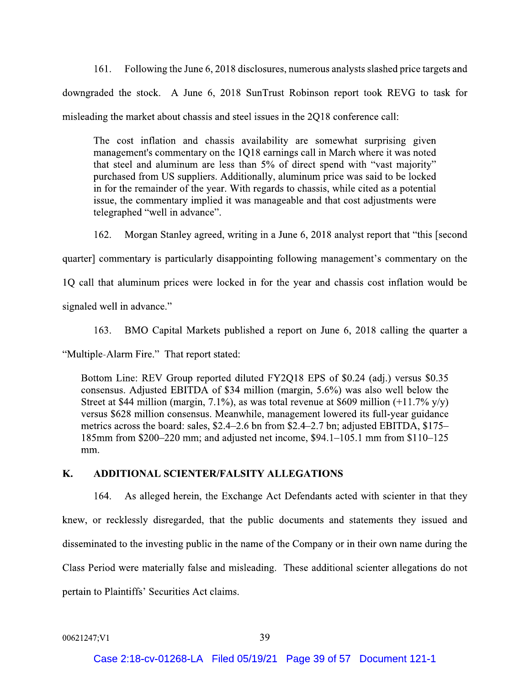Following the June 6, 2018 disclosures, numerous analysts slashed price targets and  $161.$ downgraded the stock. A June 6, 2018 SunTrust Robinson report took REVG to task for misleading the market about chassis and steel issues in the 2Q18 conference call:

The cost inflation and chassis availability are somewhat surprising given management's commentary on the 1Q18 earnings call in March where it was noted that steel and aluminum are less than 5% of direct spend with "vast majority" purchased from US suppliers. Additionally, aluminum price was said to be locked in for the remainder of the year. With regards to chassis, while cited as a potential issue, the commentary implied it was manageable and that cost adjustments were telegraphed "well in advance".

162. Morgan Stanley agreed, writing in a June 6, 2018 analyst report that "this [second]

quarter commentary is particularly disappointing following management's commentary on the

1Q call that aluminum prices were locked in for the year and chassis cost inflation would be

signaled well in advance."

 $163.$ BMO Capital Markets published a report on June 6, 2018 calling the quarter a

"Multiple-Alarm Fire." That report stated:

Bottom Line: REV Group reported diluted FY2Q18 EPS of \$0.24 (adj.) versus \$0.35 consensus. Adjusted EBITDA of \$34 million (margin, 5.6%) was also well below the Street at \$44 million (margin, 7.1%), as was total revenue at \$609 million  $(+11.7\% \text{ y/y})$ versus \$628 million consensus. Meanwhile, management lowered its full-year guidance metrics across the board: sales, \$2.4–2.6 bn from \$2.4–2.7 bn; adjusted EBITDA, \$175– 185mm from \$200–220 mm; and adjusted net income, \$94.1–105.1 mm from \$110–125 mm.

#### K. **ADDITIONAL SCIENTER/FALSITY ALLEGATIONS**

164. As alleged herein, the Exchange Act Defendants acted with scienter in that they knew, or recklessly disregarded, that the public documents and statements they issued and disseminated to the investing public in the name of the Company or in their own name during the Class Period were materially false and misleading. These additional scienter allegations do not pertain to Plaintiffs' Securities Act claims.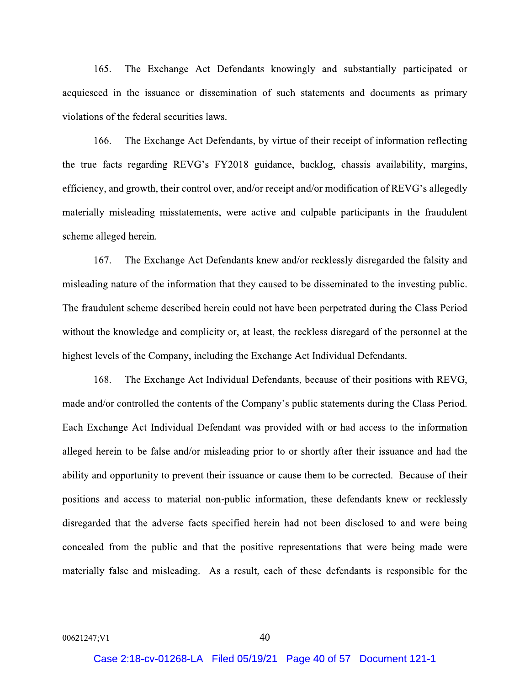The Exchange Act Defendants knowingly and substantially participated or  $165.$ acquiesced in the issuance or dissemination of such statements and documents as primary violations of the federal securities laws.

166. The Exchange Act Defendants, by virtue of their receipt of information reflecting the true facts regarding REVG's FY2018 guidance, backlog, chassis availability, margins, efficiency, and growth, their control over, and/or receipt and/or modification of REVG's allegedly materially misleading misstatements, were active and culpable participants in the fraudulent scheme alleged herein.

167. The Exchange Act Defendants knew and/or recklessly disregarded the falsity and misleading nature of the information that they caused to be disseminated to the investing public. The fraudulent scheme described herein could not have been perpetrated during the Class Period without the knowledge and complicity or, at least, the reckless disregard of the personnel at the highest levels of the Company, including the Exchange Act Individual Defendants.

168. The Exchange Act Individual Defendants, because of their positions with REVG, made and/or controlled the contents of the Company's public statements during the Class Period. Each Exchange Act Individual Defendant was provided with or had access to the information alleged herein to be false and/or misleading prior to or shortly after their issuance and had the ability and opportunity to prevent their issuance or cause them to be corrected. Because of their positions and access to material non-public information, these defendants knew or recklessly disregarded that the adverse facts specified herein had not been disclosed to and were being concealed from the public and that the positive representations that were being made were materially false and misleading. As a result, each of these defendants is responsible for the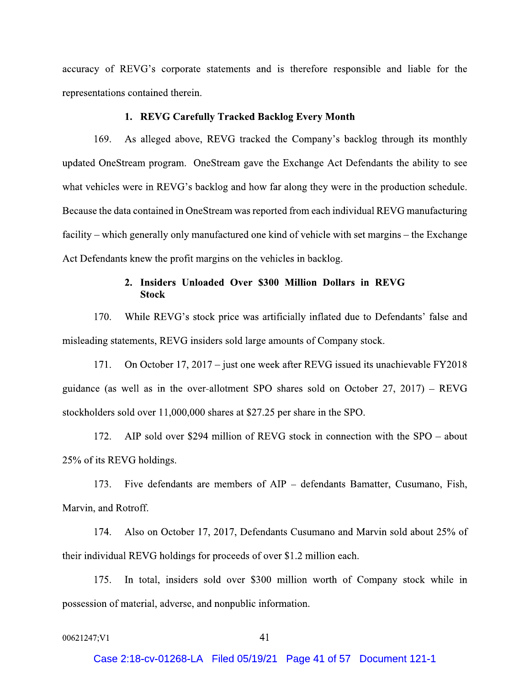accuracy of REVG's corporate statements and is therefore responsible and liable for the representations contained therein.

## 1. REVG Carefully Tracked Backlog Every Month

169. As alleged above, REVG tracked the Company's backlog through its monthly updated OneStream program. OneStream gave the Exchange Act Defendants the ability to see what vehicles were in REVG's backlog and how far along they were in the production schedule. Because the data contained in OneStream was reported from each individual REVG manufacturing facility – which generally only manufactured one kind of vehicle with set margins – the Exchange Act Defendants knew the profit margins on the vehicles in backlog.

# 2. Insiders Unloaded Over \$300 Million Dollars in REVG **Stock**

While REVG's stock price was artificially inflated due to Defendants' false and  $170.$ misleading statements, REVG insiders sold large amounts of Company stock.

171. On October 17, 2017 – just one week after REVG issued its unachievable FY2018 guidance (as well as in the over-allotment SPO shares sold on October 27, 2017) – REVG stockholders sold over 11,000,000 shares at \$27.25 per share in the SPO.

AIP sold over \$294 million of REVG stock in connection with the  $SPO - about$ 172. 25% of its REVG holdings.

173. Five defendants are members of AIP – defendants Bamatter, Cusumano, Fish, Marvin, and Rotroff.

174. Also on October 17, 2017, Defendants Cusumano and Marvin sold about 25% of their individual REVG holdings for proceeds of over \$1.2 million each.

In total, insiders sold over \$300 million worth of Company stock while in 175. possession of material, adverse, and nonpublic information.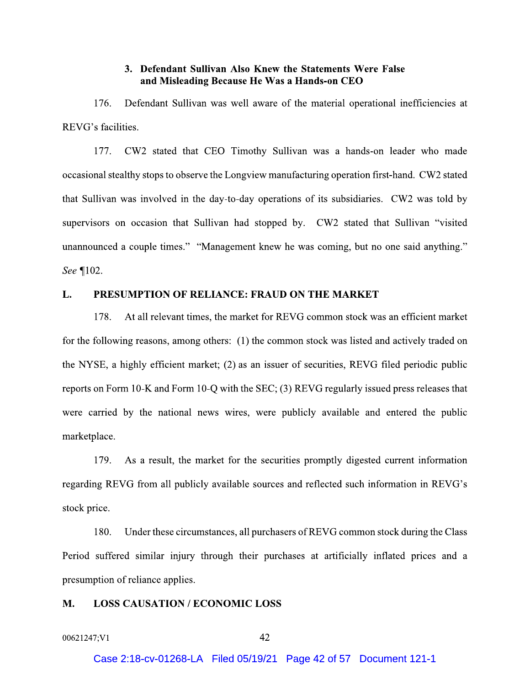## 3. Defendant Sullivan Also Knew the Statements Were False and Misleading Because He Was a Hands-on CEO

Defendant Sullivan was well aware of the material operational inefficiencies at 176. REVG's facilities.

177. CW2 stated that CEO Timothy Sullivan was a hands-on leader who made occasional stealthy stops to observe the Longview manufacturing operation first-hand. CW2 stated that Sullivan was involved in the day-to-day operations of its subsidiaries. CW2 was told by supervisors on occasion that Sullivan had stopped by. CW2 stated that Sullivan "visited unannounced a couple times." "Management knew he was coming, but no one said anything." See ¶102.

#### PRESUMPTION OF RELIANCE: FRAUD ON THE MARKET L.

178. At all relevant times, the market for REVG common stock was an efficient market for the following reasons, among others: (1) the common stock was listed and actively traded on the NYSE, a highly efficient market; (2) as an issuer of securities, REVG filed periodic public reports on Form 10-K and Form 10-Q with the SEC; (3) REVG regularly issued press releases that were carried by the national news wires, were publicly available and entered the public marketplace.

179. As a result, the market for the securities promptly digested current information regarding REVG from all publicly available sources and reflected such information in REVG's stock price.

180. Under these circumstances, all purchasers of REVG common stock during the Class Period suffered similar injury through their purchases at artificially inflated prices and a presumption of reliance applies.

#### **LOSS CAUSATION / ECONOMIC LOSS** М.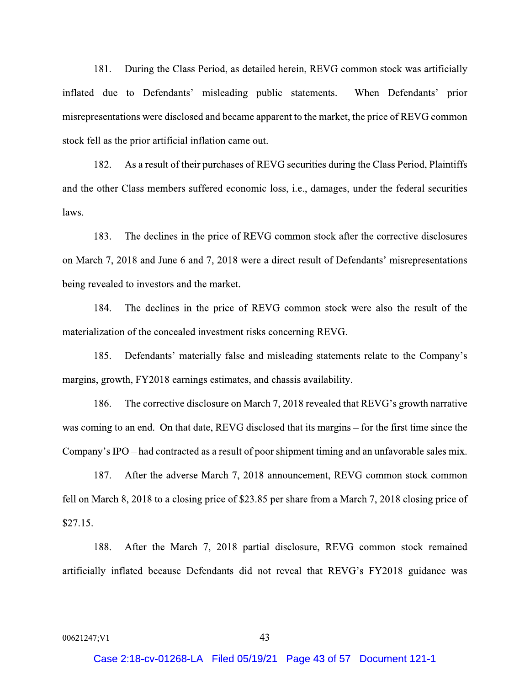During the Class Period, as detailed herein, REVG common stock was artificially  $181.$ inflated due to Defendants' misleading public statements. When Defendants' prior misrepresentations were disclosed and became apparent to the market, the price of REVG common stock fell as the prior artificial inflation came out.

As a result of their purchases of REVG securities during the Class Period, Plaintiffs 182. and the other Class members suffered economic loss, i.e., damages, under the federal securities laws.

183. The declines in the price of REVG common stock after the corrective disclosures on March 7, 2018 and June 6 and 7, 2018 were a direct result of Defendants' misrepresentations being revealed to investors and the market.

184. The declines in the price of REVG common stock were also the result of the materialization of the concealed investment risks concerning REVG.

185. Defendants' materially false and misleading statements relate to the Company's margins, growth, FY2018 earnings estimates, and chassis availability.

186. The corrective disclosure on March 7, 2018 revealed that REVG's growth narrative was coming to an end. On that date, REVG disclosed that its margins – for the first time since the Company's IPO – had contracted as a result of poor shipment timing and an unfavorable sales mix.

After the adverse March 7, 2018 announcement, REVG common stock common 187. fell on March 8, 2018 to a closing price of \$23.85 per share from a March 7, 2018 closing price of  $$27.15.$ 

188. After the March 7, 2018 partial disclosure, REVG common stock remained artificially inflated because Defendants did not reveal that REVG's FY2018 guidance was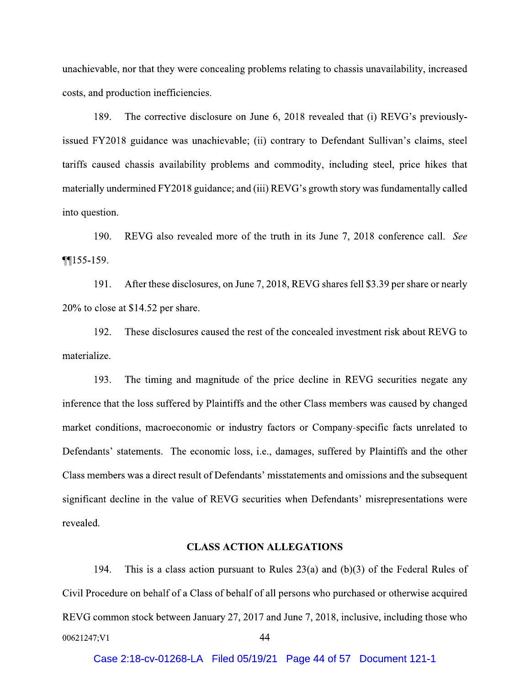unachievable, nor that they were concealing problems relating to chassis unavailability, increased costs, and production inefficiencies.

189. The corrective disclosure on June 6, 2018 revealed that (i) REVG's previouslyissued FY2018 guidance was unachievable; (ii) contrary to Defendant Sullivan's claims, steel tariffs caused chassis availability problems and commodity, including steel, price hikes that materially undermined FY2018 guidance; and (iii) REVG's growth story was fundamentally called into question.

190. REVG also revealed more of the truth in its June 7, 2018 conference call. See  $\P$ [155-159.

 $191.$ After these disclosures, on June 7, 2018, REVG shares fell \$3.39 per share or nearly 20% to close at \$14.52 per share.

192. These disclosures caused the rest of the concealed investment risk about REVG to materialize.

193. The timing and magnitude of the price decline in REVG securities negate any inference that the loss suffered by Plaintiffs and the other Class members was caused by changed market conditions, macroeconomic or industry factors or Company-specific facts unrelated to Defendants' statements. The economic loss, i.e., damages, suffered by Plaintiffs and the other Class members was a direct result of Defendants' misstatements and omissions and the subsequent significant decline in the value of REVG securities when Defendants' misrepresentations were revealed.

## **CLASS ACTION ALLEGATIONS**

194. This is a class action pursuant to Rules  $23(a)$  and  $(b)(3)$  of the Federal Rules of Civil Procedure on behalf of a Class of behalf of all persons who purchased or otherwise acquired REVG common stock between January 27, 2017 and June 7, 2018, inclusive, including those who 44 00621247;V1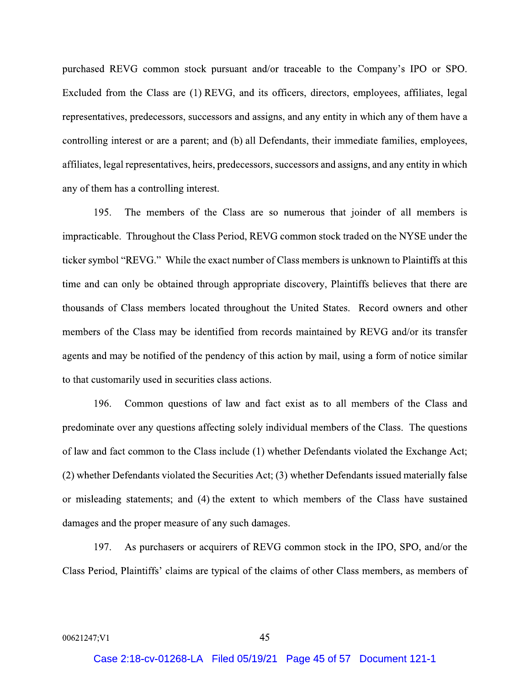purchased REVG common stock pursuant and/or traceable to the Company's IPO or SPO. Excluded from the Class are (1) REVG, and its officers, directors, employees, affiliates, legal representatives, predecessors, successors and assigns, and any entity in which any of them have a controlling interest or are a parent; and (b) all Defendants, their immediate families, employees, affiliates, legal representatives, heirs, predecessors, successors and assigns, and any entity in which any of them has a controlling interest.

195. The members of the Class are so numerous that joinder of all members is impracticable. Throughout the Class Period, REVG common stock traded on the NYSE under the ticker symbol "REVG." While the exact number of Class members is unknown to Plaintiffs at this time and can only be obtained through appropriate discovery, Plaintiffs believes that there are thousands of Class members located throughout the United States. Record owners and other members of the Class may be identified from records maintained by REVG and/or its transfer agents and may be notified of the pendency of this action by mail, using a form of notice similar to that customarily used in securities class actions.

196. Common questions of law and fact exist as to all members of the Class and predominate over any questions affecting solely individual members of the Class. The questions of law and fact common to the Class include (1) whether Defendants violated the Exchange Act; (2) whether Defendants violated the Securities Act; (3) whether Defendants issued materially false or misleading statements; and (4) the extent to which members of the Class have sustained damages and the proper measure of any such damages.

As purchasers or acquirers of REVG common stock in the IPO, SPO, and/or the 197. Class Period, Plaintiffs' claims are typical of the claims of other Class members, as members of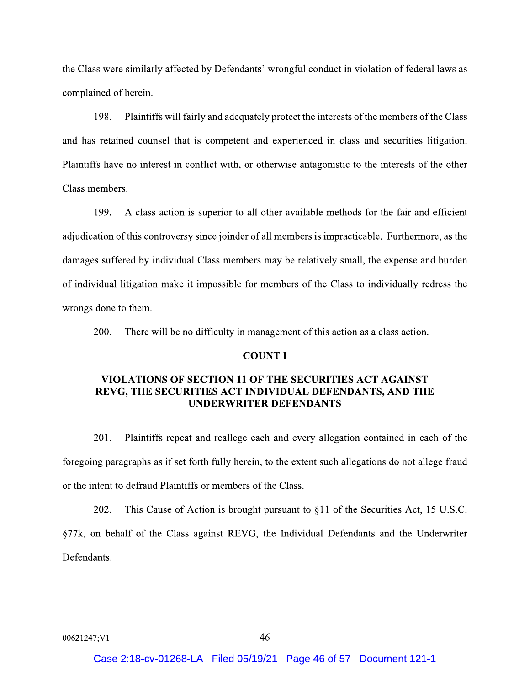the Class were similarly affected by Defendants' wrongful conduct in violation of federal laws as complained of herein.

198. Plaintiffs will fairly and adequately protect the interests of the members of the Class and has retained counsel that is competent and experienced in class and securities litigation. Plaintiffs have no interest in conflict with, or otherwise antagonistic to the interests of the other Class members.

199. A class action is superior to all other available methods for the fair and efficient adjudication of this controversy since joinder of all members is impracticable. Furthermore, as the damages suffered by individual Class members may be relatively small, the expense and burden of individual litigation make it impossible for members of the Class to individually redress the wrongs done to them.

 $200.$ There will be no difficulty in management of this action as a class action.

## **COUNT I**

## **VIOLATIONS OF SECTION 11 OF THE SECURITIES ACT AGAINST** REVG, THE SECURITIES ACT INDIVIDUAL DEFENDANTS, AND THE **UNDERWRITER DEFENDANTS**

201. Plaintiffs repeat and reallege each and every allegation contained in each of the foregoing paragraphs as if set forth fully herein, to the extent such allegations do not allege fraud or the intent to defraud Plaintiffs or members of the Class.

202. This Cause of Action is brought pursuant to §11 of the Securities Act, 15 U.S.C. §77k, on behalf of the Class against REVG, the Individual Defendants and the Underwriter Defendants.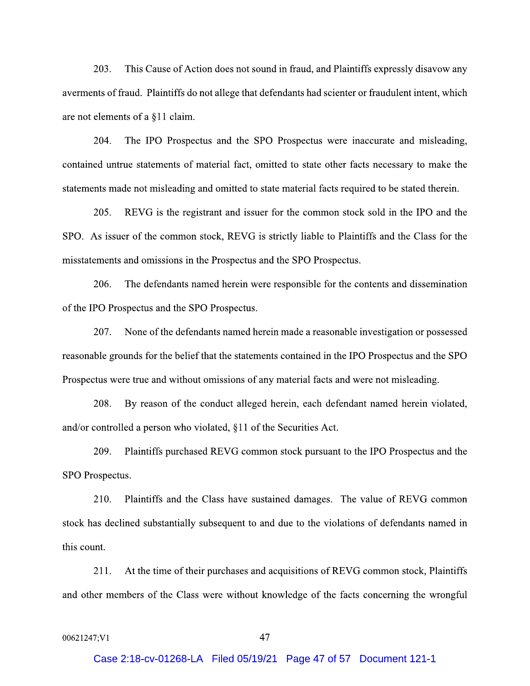$203.$ This Cause of Action does not sound in fraud, and Plaintiffs expressly disavow any averments of fraud. Plaintiffs do not allege that defendants had scienter or fraudulent intent, which are not elements of a §11 claim.

The IPO Prospectus and the SPO Prospectus were inaccurate and misleading, 204. contained untrue statements of material fact, omitted to state other facts necessary to make the statements made not misleading and omitted to state material facts required to be stated therein.

 $205.$ REVG is the registrant and issuer for the common stock sold in the IPO and the SPO. As issuer of the common stock, REVG is strictly liable to Plaintiffs and the Class for the misstatements and omissions in the Prospectus and the SPO Prospectus.

206. The defendants named herein were responsible for the contents and dissemination of the IPO Prospectus and the SPO Prospectus.

207. None of the defendants named herein made a reasonable investigation or possessed reasonable grounds for the belief that the statements contained in the IPO Prospectus and the SPO Prospectus were true and without omissions of any material facts and were not misleading.

208. By reason of the conduct alleged herein, each defendant named herein violated, and/or controlled a person who violated, §11 of the Securities Act.

209. Plaintiffs purchased REVG common stock pursuant to the IPO Prospectus and the SPO Prospectus.

Plaintiffs and the Class have sustained damages. The value of REVG common 210. stock has declined substantially subsequent to and due to the violations of defendants named in this count.

211. At the time of their purchases and acquisitions of REVG common stock, Plaintiffs and other members of the Class were without knowledge of the facts concerning the wrongful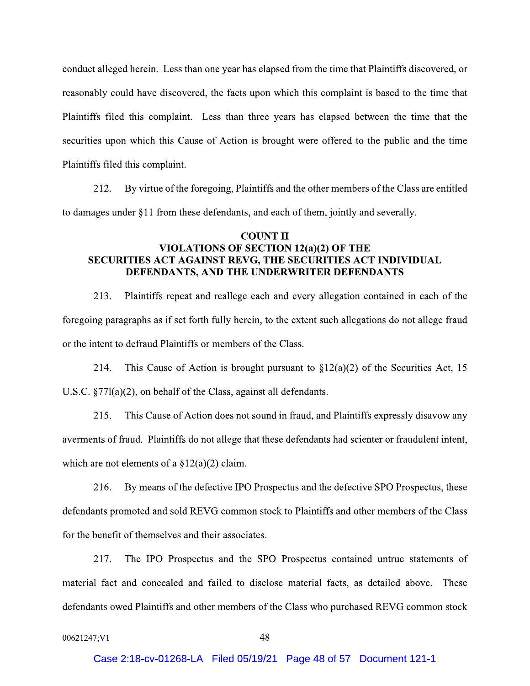conduct alleged herein. Less than one year has elapsed from the time that Plaintiffs discovered, or reasonably could have discovered, the facts upon which this complaint is based to the time that Plaintiffs filed this complaint. Less than three years has elapsed between the time that the securities upon which this Cause of Action is brought were offered to the public and the time Plaintiffs filed this complaint.

212. By virtue of the foregoing, Plaintiffs and the other members of the Class are entitled to damages under §11 from these defendants, and each of them, jointly and severally.

# **COUNT II VIOLATIONS OF SECTION 12(a)(2) OF THE** SECURITIES ACT AGAINST REVG, THE SECURITIES ACT INDIVIDUAL DEFENDANTS, AND THE UNDERWRITER DEFENDANTS

213. Plaintiffs repeat and reallege each and every allegation contained in each of the foregoing paragraphs as if set forth fully herein, to the extent such allegations do not allege fraud or the intent to defraud Plaintiffs or members of the Class.

214. This Cause of Action is brought pursuant to  $\S 12(a)(2)$  of the Securities Act, 15 U.S.C.  $\S77l(a)(2)$ , on behalf of the Class, against all defendants.

215. This Cause of Action does not sound in fraud, and Plaintiffs expressly disavow any averments of fraud. Plaintiffs do not allege that these defendants had scienter or fraudulent intent, which are not elements of a  $\S 12(a)(2)$  claim.

216. By means of the defective IPO Prospectus and the defective SPO Prospectus, these defendants promoted and sold REVG common stock to Plaintiffs and other members of the Class for the benefit of themselves and their associates.

217. The IPO Prospectus and the SPO Prospectus contained untrue statements of material fact and concealed and failed to disclose material facts, as detailed above. These defendants owed Plaintiffs and other members of the Class who purchased REVG common stock

```
00621247;V1
```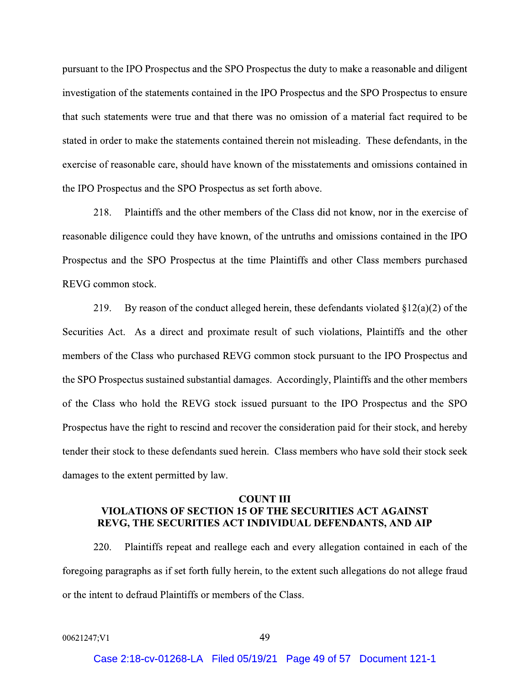pursuant to the IPO Prospectus and the SPO Prospectus the duty to make a reasonable and diligent investigation of the statements contained in the IPO Prospectus and the SPO Prospectus to ensure pursuant to the IPO Prospectus and the SPO Prospectus the duty to make a reasonable and diligent<br>investigation of the statements contained in the IPO Prospectus and the SPO Prospectus to ensure<br>that such statements were tr the IPO Prospectus and the SPO Prospectus as set forth above. that such statements were true and that there was no omission of a material fact required to be stated in order to make the statements contained therein not misleading. These defendants, in the exercise of reasonable care,

ectus and the SPO Prospectus at the time Plaintiffs and other Class members purchased

218. Plaintiffs and the other members of the Class did not know, nor in the exercise of<br>reasonable diligence could they have known, of the untruths and omissions contained in the IPO<br>Prospectus and the SPO Prospectus at th reasonable diligence could they have known, of the untruths and omissions contained in the IPO<br>Prospectus and the SPO Prospectus at the time Plaintiffs and other Class members purchased<br>REVG common stock.<br>219. By reason of urchased REVG common stock pursuant to the IPO Prospectus and the SPO Prospectus sustained substantial damages. Accordingly, Plaintiffs and the other members REVG common stock.<br>
219. By reason of the conduct alleged herein, these defendants violated §12(a)(2) of the<br>
Securities Act. As a direct and proximate result of such violations, Plaintiffs and the other<br>
members of the Cl ursuant to the IPO Prospectus and the SPO Prospectus have the right to rescind and recover the consideration pa Securities Act. As a direct and proximate result of such violations, Plaintiffs and the other<br>members of the Class who purchased REVG common stock pursuant to the IPO Prospectus and<br>the SPO Prospectus sustained substantial

# $\frac{1}{100}$  ermitted by law.<br>COUNT III VIOLATIONS OF SECTION 15 OF THE SECURITIES ACT AGAINST REVG, THE SECURITIES ACT INDIVIDUAL DEFENDANTS, AND AIP

220. Plaintiffs repeat and reallege each and every allegation contained in each of the toregoing paragraph damages to the extent permitted by law.<br> **COUNT III**<br> **EEVG, THE SECURITIES ACT INDIVIDUAL DEFENDANTS, AND AIP**<br>
220. Plaintiffs repeat and reallege each and every allegation contained in each of the<br>
foregoing paragraphs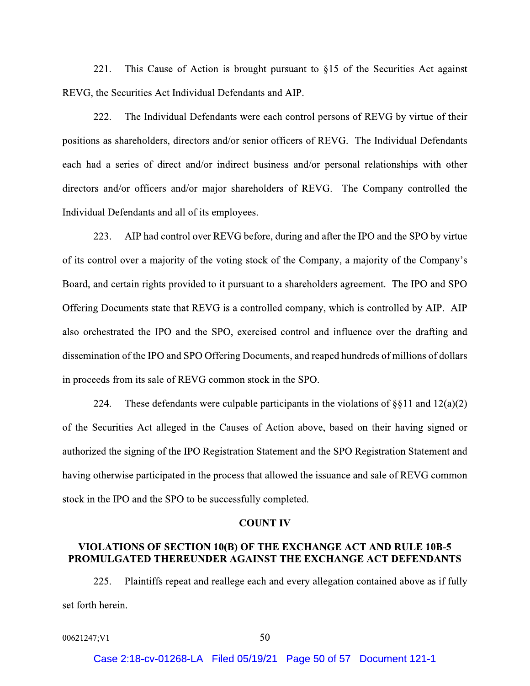This Cause of Action is brought pursuant to §15 of the Securities Act against  $221.$ REVG, the Securities Act Individual Defendants and AIP.

222. The Individual Defendants were each control persons of REVG by virtue of their positions as shareholders, directors and/or senior officers of REVG. The Individual Defendants each had a series of direct and/or indirect business and/or personal relationships with other directors and/or officers and/or major shareholders of REVG. The Company controlled the Individual Defendants and all of its employees.

223. AIP had control over REVG before, during and after the IPO and the SPO by virtue of its control over a majority of the voting stock of the Company, a majority of the Company's Board, and certain rights provided to it pursuant to a shareholders agreement. The IPO and SPO Offering Documents state that REVG is a controlled company, which is controlled by AIP. AIP also orchestrated the IPO and the SPO, exercised control and influence over the drafting and dissemination of the IPO and SPO Offering Documents, and reaped hundreds of millions of dollars in proceeds from its sale of REVG common stock in the SPO.

224. These defendants were culpable participants in the violations of  $\S$ [11 and 12(a)(2) of the Securities Act alleged in the Causes of Action above, based on their having signed or authorized the signing of the IPO Registration Statement and the SPO Registration Statement and having otherwise participated in the process that allowed the issuance and sale of REVG common stock in the IPO and the SPO to be successfully completed.

## **COUNT IV**

# VIOLATIONS OF SECTION 10(B) OF THE EXCHANGE ACT AND RULE 10B-5 PROMULGATED THEREUNDER AGAINST THE EXCHANGE ACT DEFENDANTS

Plaintiffs repeat and reallege each and every allegation contained above as if fully 225. set forth herein.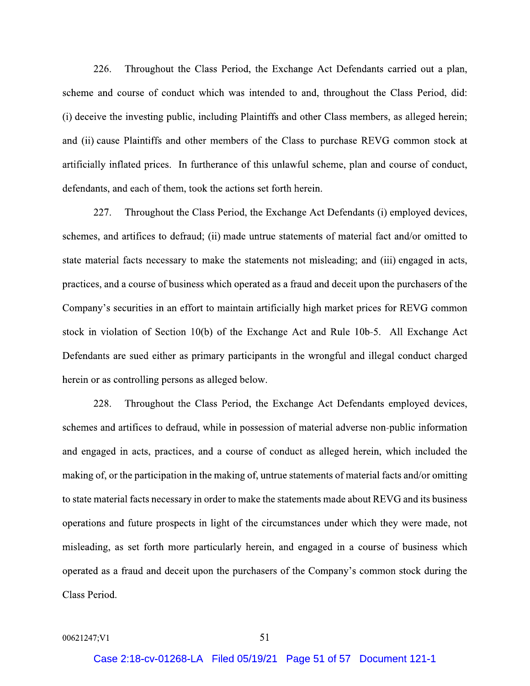$226.$ Throughout the Class Period, the Exchange Act Defendants carried out a plan, scheme and course of conduct which was intended to and, throughout the Class Period, did: (i) deceive the investing public, including Plaintiffs and other Class members, as alleged herein; and (ii) cause Plaintiffs and other members of the Class to purchase REVG common stock at artificially inflated prices. In furtherance of this unlawful scheme, plan and course of conduct, defendants, and each of them, took the actions set forth herein.

227. Throughout the Class Period, the Exchange Act Defendants (i) employed devices, schemes, and artifices to defraud; (ii) made untrue statements of material fact and/or omitted to state material facts necessary to make the statements not misleading; and (iii) engaged in acts, practices, and a course of business which operated as a fraud and deceit upon the purchasers of the Company's securities in an effort to maintain artificially high market prices for REVG common stock in violation of Section 10(b) of the Exchange Act and Rule 10b-5. All Exchange Act Defendants are sued either as primary participants in the wrongful and illegal conduct charged herein or as controlling persons as alleged below.

228. Throughout the Class Period, the Exchange Act Defendants employed devices, schemes and artifices to defraud, while in possession of material adverse non-public information and engaged in acts, practices, and a course of conduct as alleged herein, which included the making of, or the participation in the making of, untrue statements of material facts and/or omitting to state material facts necessary in order to make the statements made about REVG and its business operations and future prospects in light of the circumstances under which they were made, not misleading, as set forth more particularly herein, and engaged in a course of business which operated as a fraud and deceit upon the purchasers of the Company's common stock during the Class Period.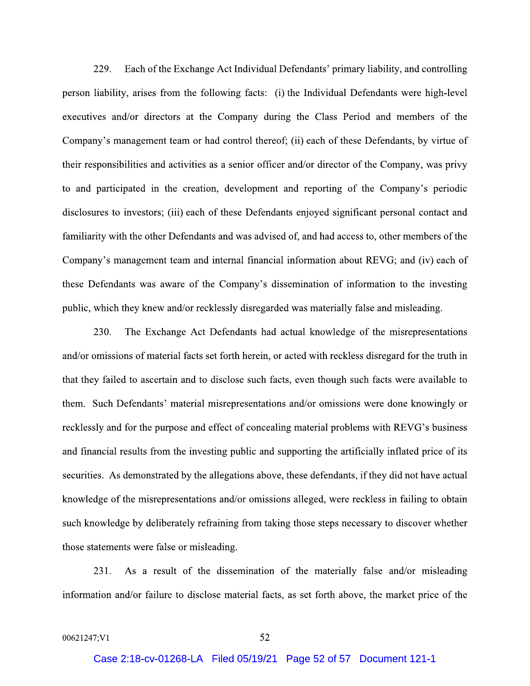Each of the Exchange Act Individual Defendants' primary liability, and controlling 229. person liability, arises from the following facts: (i) the Individual Defendants were high-level executives and/or directors at the Company during the Class Period and members of the Company's management team or had control thereof; (ii) each of these Defendants, by virtue of their responsibilities and activities as a senior officer and/or director of the Company, was privy to and participated in the creation, development and reporting of the Company's periodic disclosures to investors; (iii) each of these Defendants enjoyed significant personal contact and familiarity with the other Defendants and was advised of, and had access to, other members of the Company's management team and internal financial information about REVG; and (iv) each of these Defendants was aware of the Company's dissemination of information to the investing public, which they knew and/or recklessly disregarded was materially false and misleading.

230. The Exchange Act Defendants had actual knowledge of the misrepresentations and/or omissions of material facts set forth herein, or acted with reckless disregard for the truth in that they failed to ascertain and to disclose such facts, even though such facts were available to them. Such Defendants' material misrepresentations and/or omissions were done knowingly or recklessly and for the purpose and effect of concealing material problems with REVG's business and financial results from the investing public and supporting the artificially inflated price of its securities. As demonstrated by the allegations above, these defendants, if they did not have actual knowledge of the misrepresentations and/or omissions alleged, were reckless in failing to obtain such knowledge by deliberately refraining from taking those steps necessary to discover whether those statements were false or misleading.

231. As a result of the dissemination of the materially false and/or misleading information and/or failure to disclose material facts, as set forth above, the market price of the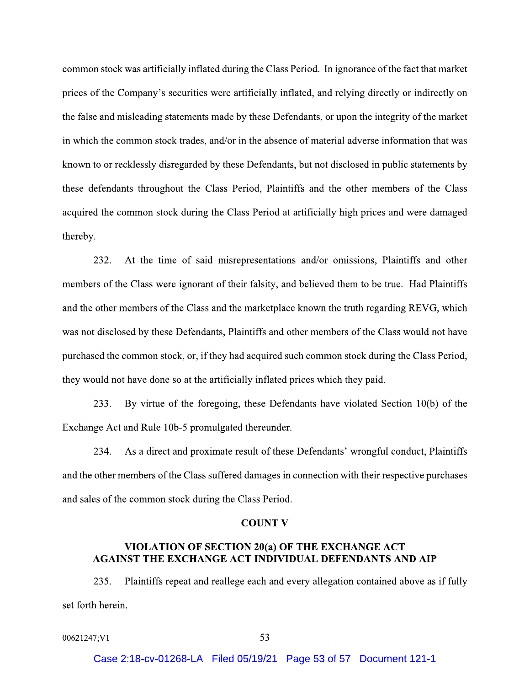common stock was artificially inflated during the Class Period. In ignorance of the fact that market prices of the Company's securities were artificially inflated, and relying directly or indirectly on the false and misleading statements made by these Defendants, or upon the integrity of the market in which the common stock trades, and/or in the absence of material adverse information that was known to or recklessly disregarded by these Defendants, but not disclosed in public statements by these defendants throughout the Class Period, Plaintiffs and the other members of the Class acquired the common stock during the Class Period at artificially high prices and were damaged thereby.

232. At the time of said misrepresentations and/or omissions, Plaintiffs and other members of the Class were ignorant of their falsity, and believed them to be true. Had Plaintiffs and the other members of the Class and the marketplace known the truth regarding REVG, which was not disclosed by these Defendants, Plaintiffs and other members of the Class would not have purchased the common stock, or, if they had acquired such common stock during the Class Period, they would not have done so at the artificially inflated prices which they paid.

By virtue of the foregoing, these Defendants have violated Section  $10(b)$  of the 233. Exchange Act and Rule 10b-5 promulgated thereunder.

234. As a direct and proximate result of these Defendants' wrongful conduct, Plaintiffs and the other members of the Class suffered damages in connection with their respective purchases and sales of the common stock during the Class Period.

## **COUNT V**

# VIOLATION OF SECTION 20(a) OF THE EXCHANGE ACT **AGAINST THE EXCHANGE ACT INDIVIDUAL DEFENDANTS AND AIP**

Plaintiffs repeat and reallege each and every allegation contained above as if fully 235. set forth herein.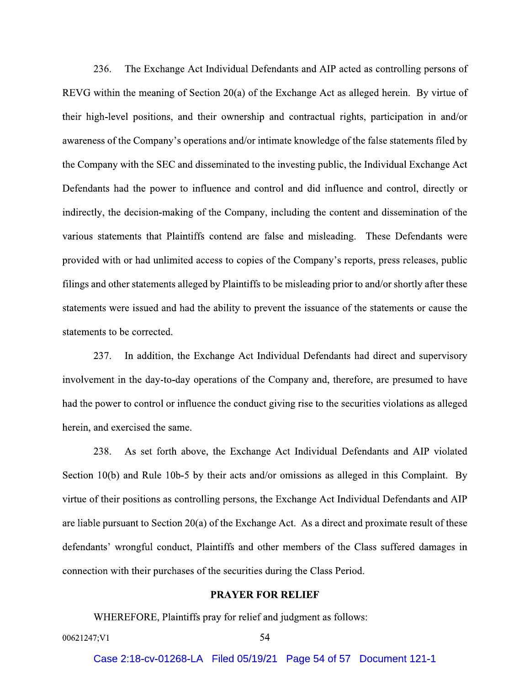236. The Exchange Act Individual Defendants and AIP acted as controlling persons of REVG within the meaning of Section 20(a) of the Exchange Act as alleged herein. By virtue of their high-level positions, and their ownership and contractual rights, participation in and/or awareness of the Company's operations and/or intimate knowledge of the false statements filed by the Company with the SEC and disseminated to the investing public, the Individual Exchange Act Defendants had the power to influence and control and did influence and control, directly or indirectly, the decision-making of the Company, including the content and dissemination of the various statements that Plaintiffs contend are false and misleading. These Defendants were provided with or had unlimited access to copies of the Company's reports, press releases, public filings and other statements alleged by Plaintiffs to be misleading prior to and/or shortly after these statements were issued and had the ability to prevent the issuance of the statements or cause the statements to be corrected.

237. In addition, the Exchange Act Individual Defendants had direct and supervisory involvement in the day-to-day operations of the Company and, therefore, are presumed to have had the power to control or influence the conduct giving rise to the securities violations as alleged herein, and exercised the same.

238. As set forth above, the Exchange Act Individual Defendants and AIP violated Section 10(b) and Rule 10b-5 by their acts and/or omissions as alleged in this Complaint. By virtue of their positions as controlling persons, the Exchange Act Individual Defendants and AIP are liable pursuant to Section  $20(a)$  of the Exchange Act. As a direct and proximate result of these defendants' wrongful conduct, Plaintiffs and other members of the Class suffered damages in connection with their purchases of the securities during the Class Period.

## **PRAYER FOR RELIEF**

WHEREFORE, Plaintiffs pray for relief and judgment as follows: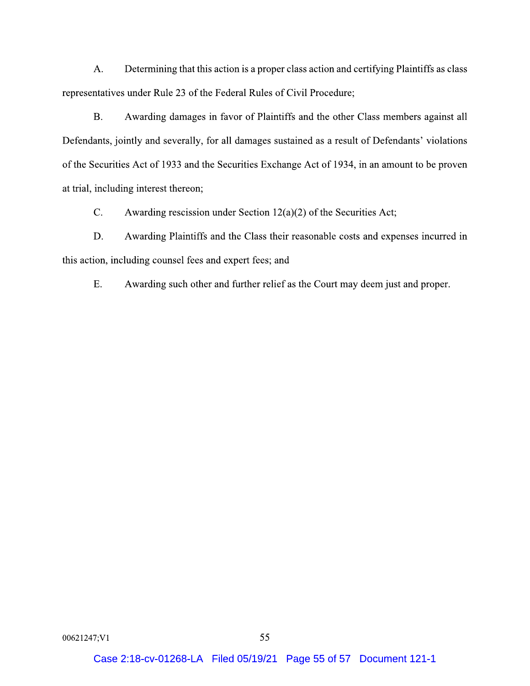$A<sub>1</sub>$ Determining that this action is a proper class action and certifying Plaintiffs as class representatives under Rule 23 of the Federal Rules of Civil Procedure;

 $B<sub>1</sub>$ Awarding damages in favor of Plaintiffs and the other Class members against all Defendants, jointly and severally, for all damages sustained as a result of Defendants' violations of the Securities Act of 1933 and the Securities Exchange Act of 1934, in an amount to be proven at trial, including interest thereon;

 $C_{\cdot}$ Awarding rescission under Section  $12(a)(2)$  of the Securities Act;

Awarding Plaintiffs and the Class their reasonable costs and expenses incurred in D. this action, including counsel fees and expert fees; and

 $E.$ Awarding such other and further relief as the Court may deem just and proper.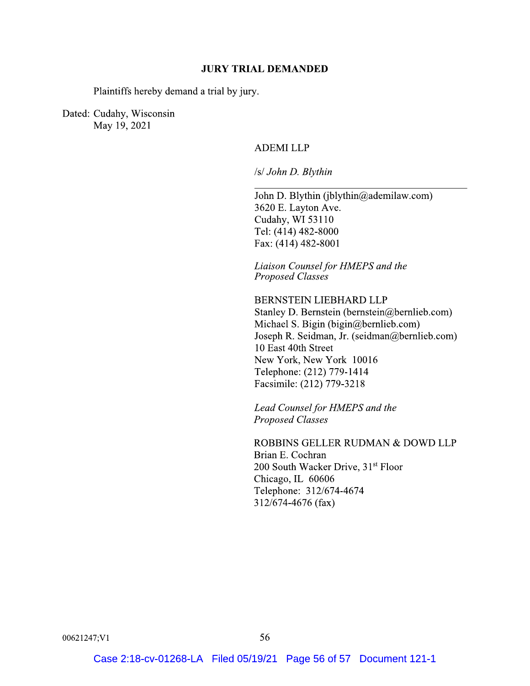## **JURY TRIAL DEMANDED**

Plaintiffs hereby demand a trial by jury.

Dated: Cudahy, Wisconsin May 19, 2021

# **ADEMI LLP**

/s/ John D. Blythin

John D. Blythin (jblythin@ademilaw.com) 3620 E. Layton Ave. Cudahy, WI 53110 Tel: (414) 482-8000 Fax: (414) 482-8001

Liaison Counsel for HMEPS and the Proposed Classes

**BERNSTEIN LIEBHARD LLP** Stanley D. Bernstein (bernstein@bernlieb.com) Michael S. Bigin (bigin@bernlieb.com) Joseph R. Seidman, Jr. (seidman@bernlieb.com) 10 East 40th Street New York, New York 10016 Telephone: (212) 779-1414 Facsimile: (212) 779-3218

Lead Counsel for HMEPS and the **Proposed Classes** 

ROBBINS GELLER RUDMAN & DOWD LLP Brian E. Cochran 200 South Wacker Drive, 31<sup>st</sup> Floor Chicago, IL 60606 Telephone: 312/674-4674 312/674-4676 (fax)